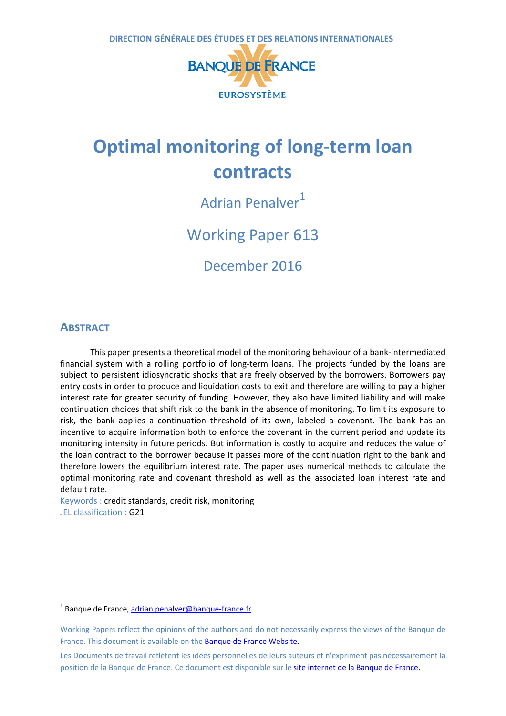

# **Optimal monitoring of long-term loan contracts**

Adrian Penalver<sup>[1](#page-0-0)</sup>

Working Paper 613

December 2016

# **ABSTRACT**

 $\overline{a}$ 

This paper presents a theoretical model of the monitoring behaviour of a bank-intermediated financial system with a rolling portfolio of long-term loans. The projects funded by the loans are subject to persistent idiosyncratic shocks that are freely observed by the borrowers. Borrowers pay entry costs in order to produce and liquidation costs to exit and therefore are willing to pay a higher interest rate for greater security of funding. However, they also have limited liability and will make continuation choices that shift risk to the bank in the absence of monitoring. To limit its exposure to risk, the bank applies a continuation threshold of its own, labeled a covenant. The bank has an incentive to acquire information both to enforce the covenant in the current period and update its monitoring intensity in future periods. But information is costly to acquire and reduces the value of the loan contract to the borrower because it passes more of the continuation right to the bank and therefore lowers the equilibrium interest rate. The paper uses numerical methods to calculate the optimal monitoring rate and covenant threshold as well as the associated loan interest rate and default rate.

Keywords : credit standards, credit risk, monitoring JEL classification : G21

<span id="page-0-0"></span> $1$  Banque de France[, adrian.penalver@banque-france.fr](mailto:adrian.penalver@banque-france.fr)

Working Papers reflect the opinions of the authors and do not necessarily express the views of the Banque de France. This document is available on the [Banque de France Website.](https://www.banque-france.fr/en/home.html)

Les Documents de travail reflètent les idées personnelles de leurs auteurs et n'expriment pas nécessairement la position de la Banque de France. Ce document est disponible sur le [site internet de la Banque de France.](http://www.banque-france.fr/)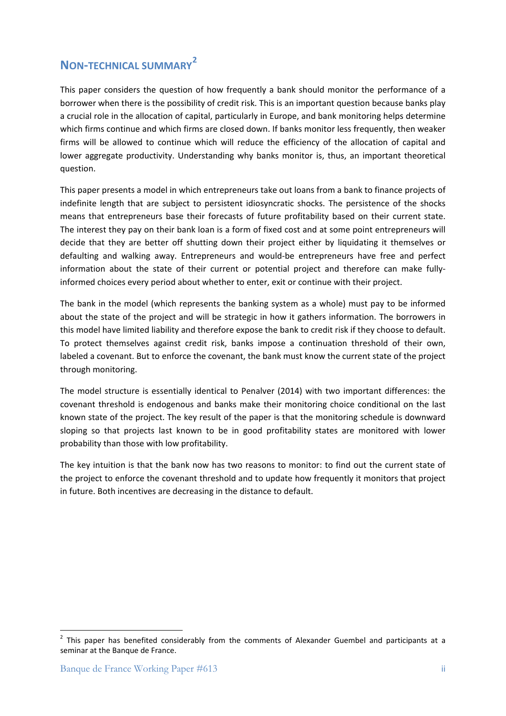# **NON-TECHNICAL SUMMARY[2](#page-1-0)**

This paper considers the question of how frequently a bank should monitor the performance of a borrower when there is the possibility of credit risk. This is an important question because banks play a crucial role in the allocation of capital, particularly in Europe, and bank monitoring helps determine which firms continue and which firms are closed down. If banks monitor less frequently, then weaker firms will be allowed to continue which will reduce the efficiency of the allocation of capital and lower aggregate productivity. Understanding why banks monitor is, thus, an important theoretical question.

This paper presents a model in which entrepreneurs take out loans from a bank to finance projects of indefinite length that are subject to persistent idiosyncratic shocks. The persistence of the shocks means that entrepreneurs base their forecasts of future profitability based on their current state. The interest they pay on their bank loan is a form of fixed cost and at some point entrepreneurs will decide that they are better off shutting down their project either by liquidating it themselves or defaulting and walking away. Entrepreneurs and would-be entrepreneurs have free and perfect information about the state of their current or potential project and therefore can make fullyinformed choices every period about whether to enter, exit or continue with their project.

The bank in the model (which represents the banking system as a whole) must pay to be informed about the state of the project and will be strategic in how it gathers information. The borrowers in this model have limited liability and therefore expose the bank to credit risk if they choose to default. To protect themselves against credit risk, banks impose a continuation threshold of their own, labeled a covenant. But to enforce the covenant, the bank must know the current state of the project through monitoring.

The model structure is essentially identical to Penalver (2014) with two important differences: the covenant threshold is endogenous and banks make their monitoring choice conditional on the last known state of the project. The key result of the paper is that the monitoring schedule is downward sloping so that projects last known to be in good profitability states are monitored with lower probability than those with low profitability.

The key intuition is that the bank now has two reasons to monitor: to find out the current state of the project to enforce the covenant threshold and to update how frequently it monitors that project in future. Both incentives are decreasing in the distance to default.

**.** 

<span id="page-1-0"></span> $2$  This paper has benefited considerably from the comments of Alexander Guembel and participants at a seminar at the Banque de France.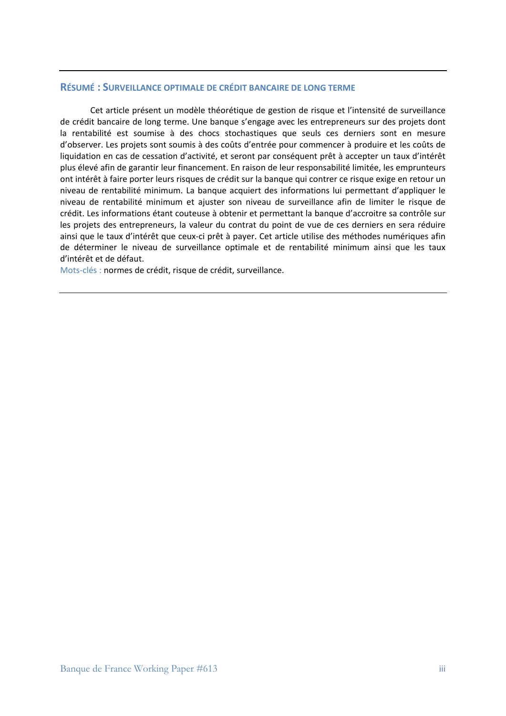#### **RÉSUMÉ : SURVEILLANCE OPTIMALE DE CRÉDIT BANCAIRE DE LONG TERME**

Cet article présent un modèle théorétique de gestion de risque et l'intensité de surveillance de crédit bancaire de long terme. Une banque s'engage avec les entrepreneurs sur des projets dont la rentabilité est soumise à des chocs stochastiques que seuls ces derniers sont en mesure d'observer. Les projets sont soumis à des coûts d'entrée pour commencer à produire et les coûts de liquidation en cas de cessation d'activité, et seront par conséquent prêt à accepter un taux d'intérêt plus élevé afin de garantir leur financement. En raison de leur responsabilité limitée, les emprunteurs ont intérêt à faire porter leurs risques de crédit sur la banque qui contrer ce risque exige en retour un niveau de rentabilité minimum. La banque acquiert des informations lui permettant d'appliquer le niveau de rentabilité minimum et ajuster son niveau de surveillance afin de limiter le risque de crédit. Les informations étant couteuse à obtenir et permettant la banque d'accroitre sa contrôle sur les projets des entrepreneurs, la valeur du contrat du point de vue de ces derniers en sera réduire ainsi que le taux d'intérêt que ceux-ci prêt à payer. Cet article utilise des méthodes numériques afin de déterminer le niveau de surveillance optimale et de rentabilité minimum ainsi que les taux d'intérêt et de défaut.

Mots-clés : normes de crédit, risque de crédit, surveillance.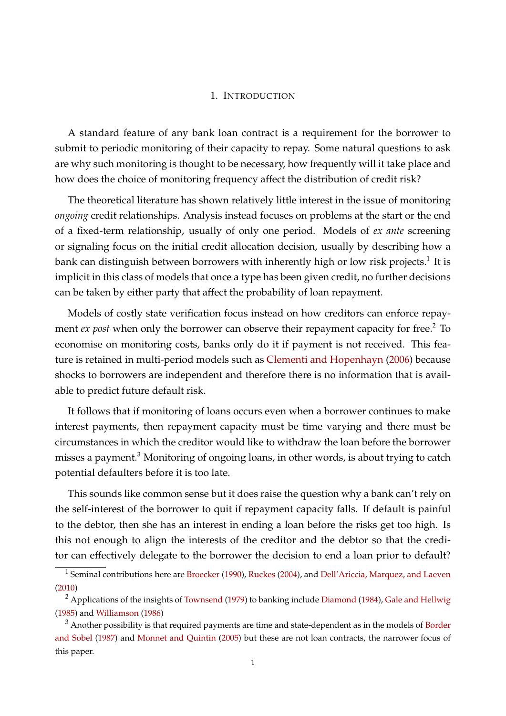#### 1. INTRODUCTION

A standard feature of any bank loan contract is a requirement for the borrower to submit to periodic monitoring of their capacity to repay. Some natural questions to ask are why such monitoring is thought to be necessary, how frequently will it take place and how does the choice of monitoring frequency affect the distribution of credit risk?

The theoretical literature has shown relatively little interest in the issue of monitoring *ongoing* credit relationships. Analysis instead focuses on problems at the start or the end of a fixed-term relationship, usually of only one period. Models of *ex ante* screening or signaling focus on the initial credit allocation decision, usually by describing how a bank can distinguish between borrowers with inherently high or low risk projects. $^1$  $^1$  It is implicit in this class of models that once a type has been given credit, no further decisions can be taken by either party that affect the probability of loan repayment.

Models of costly state verification focus instead on how creditors can enforce repayment *ex post* when only the borrower can observe their repayment capacity for free.<sup>[2](#page-3-1)</sup> To economise on monitoring costs, banks only do it if payment is not received. This feature is retained in multi-period models such as [Clementi and Hopenhayn](#page-27-0) [\(2006\)](#page-27-0) because shocks to borrowers are independent and therefore there is no information that is available to predict future default risk.

It follows that if monitoring of loans occurs even when a borrower continues to make interest payments, then repayment capacity must be time varying and there must be circumstances in which the creditor would like to withdraw the loan before the borrower misses a payment.<sup>[3](#page-3-2)</sup> Monitoring of ongoing loans, in other words, is about trying to catch potential defaulters before it is too late.

This sounds like common sense but it does raise the question why a bank can't rely on the self-interest of the borrower to quit if repayment capacity falls. If default is painful to the debtor, then she has an interest in ending a loan before the risks get too high. Is this not enough to align the interests of the creditor and the debtor so that the creditor can effectively delegate to the borrower the decision to end a loan prior to default?

<span id="page-3-0"></span> $^1$  Seminal contributions here are [Broecker](#page-27-1) [\(1990\)](#page-27-1), [Ruckes](#page-27-2) [\(2004\)](#page-27-2), and [Dell'Ariccia, Marquez, and Laeven](#page-27-3) [\(2010\)](#page-27-3)

<span id="page-3-1"></span><sup>&</sup>lt;sup>2</sup> Applications of the insights of [Townsend](#page-27-4) [\(1979\)](#page-27-4) to banking include [Diamond](#page-27-5) [\(1984\)](#page-27-5), [Gale and Hellwig](#page-27-6) [\(1985\)](#page-27-6) and [Williamson](#page-27-7) [\(1986\)](#page-27-7)

<span id="page-3-2"></span> $3$  Another possibility is that required payments are time and state-dependent as in the models of [Border](#page-27-8) [and Sobel](#page-27-8) [\(1987\)](#page-27-8) and [Monnet and Quintin](#page-27-9) [\(2005\)](#page-27-9) but these are not loan contracts, the narrower focus of this paper.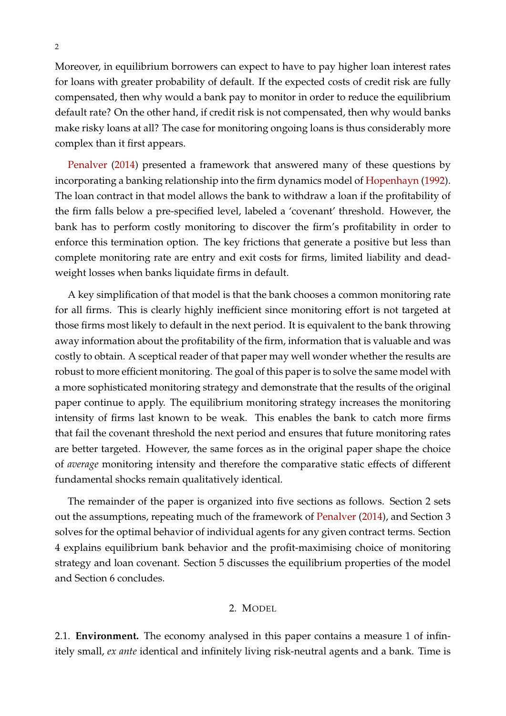Moreover, in equilibrium borrowers can expect to have to pay higher loan interest rates for loans with greater probability of default. If the expected costs of credit risk are fully compensated, then why would a bank pay to monitor in order to reduce the equilibrium default rate? On the other hand, if credit risk is not compensated, then why would banks make risky loans at all? The case for monitoring ongoing loans is thus considerably more complex than it first appears.

[Penalver](#page-27-10) [\(2014\)](#page-27-10) presented a framework that answered many of these questions by incorporating a banking relationship into the firm dynamics model of [Hopenhayn](#page-27-11) [\(1992\)](#page-27-11). The loan contract in that model allows the bank to withdraw a loan if the profitability of the firm falls below a pre-specified level, labeled a 'covenant' threshold. However, the bank has to perform costly monitoring to discover the firm's profitability in order to enforce this termination option. The key frictions that generate a positive but less than complete monitoring rate are entry and exit costs for firms, limited liability and deadweight losses when banks liquidate firms in default.

A key simplification of that model is that the bank chooses a common monitoring rate for all firms. This is clearly highly inefficient since monitoring effort is not targeted at those firms most likely to default in the next period. It is equivalent to the bank throwing away information about the profitability of the firm, information that is valuable and was costly to obtain. A sceptical reader of that paper may well wonder whether the results are robust to more efficient monitoring. The goal of this paper is to solve the same model with a more sophisticated monitoring strategy and demonstrate that the results of the original paper continue to apply. The equilibrium monitoring strategy increases the monitoring intensity of firms last known to be weak. This enables the bank to catch more firms that fail the covenant threshold the next period and ensures that future monitoring rates are better targeted. However, the same forces as in the original paper shape the choice of *average* monitoring intensity and therefore the comparative static effects of different fundamental shocks remain qualitatively identical.

The remainder of the paper is organized into five sections as follows. Section 2 sets out the assumptions, repeating much of the framework of [Penalver](#page-27-10) [\(2014\)](#page-27-10), and Section 3 solves for the optimal behavior of individual agents for any given contract terms. Section 4 explains equilibrium bank behavior and the profit-maximising choice of monitoring strategy and loan covenant. Section 5 discusses the equilibrium properties of the model and Section 6 concludes.

## 2. MODEL

2.1. **Environment.** The economy analysed in this paper contains a measure 1 of infinitely small, *ex ante* identical and infinitely living risk-neutral agents and a bank. Time is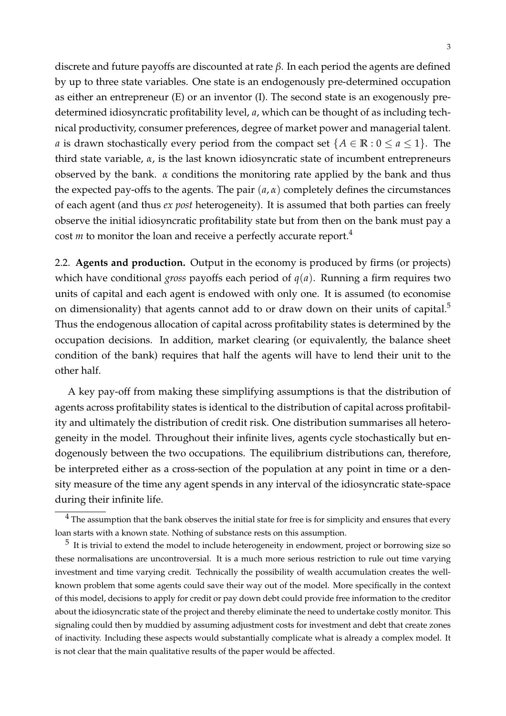discrete and future payoffs are discounted at rate *β*. In each period the agents are defined by up to three state variables. One state is an endogenously pre-determined occupation as either an entrepreneur (E) or an inventor (I). The second state is an exogenously predetermined idiosyncratic profitability level, *a*, which can be thought of as including technical productivity, consumer preferences, degree of market power and managerial talent. *a* is drawn stochastically every period from the compact set  ${A \in \mathbb{R} : 0 \le a \le 1}$ . The third state variable, *α*, is the last known idiosyncratic state of incumbent entrepreneurs observed by the bank. *α* conditions the monitoring rate applied by the bank and thus the expected pay-offs to the agents. The pair  $(a, \alpha)$  completely defines the circumstances of each agent (and thus *ex post* heterogeneity). It is assumed that both parties can freely observe the initial idiosyncratic profitability state but from then on the bank must pay a cost *m* to monitor the loan and receive a perfectly accurate report.<sup>[4](#page-5-0)</sup>

2.2. **Agents and production.** Output in the economy is produced by firms (or projects) which have conditional *gross* payoffs each period of  $q(a)$ . Running a firm requires two units of capital and each agent is endowed with only one. It is assumed (to economise on dimensionality) that agents cannot add to or draw down on their units of capital.<sup>[5](#page-5-1)</sup> Thus the endogenous allocation of capital across profitability states is determined by the occupation decisions. In addition, market clearing (or equivalently, the balance sheet condition of the bank) requires that half the agents will have to lend their unit to the other half.

A key pay-off from making these simplifying assumptions is that the distribution of agents across profitability states is identical to the distribution of capital across profitability and ultimately the distribution of credit risk. One distribution summarises all heterogeneity in the model. Throughout their infinite lives, agents cycle stochastically but endogenously between the two occupations. The equilibrium distributions can, therefore, be interpreted either as a cross-section of the population at any point in time or a density measure of the time any agent spends in any interval of the idiosyncratic state-space during their infinite life.

<span id="page-5-0"></span> $4$  The assumption that the bank observes the initial state for free is for simplicity and ensures that every loan starts with a known state. Nothing of substance rests on this assumption.

<span id="page-5-1"></span> $^5$  It is trivial to extend the model to include heterogeneity in endowment, project or borrowing size so these normalisations are uncontroversial. It is a much more serious restriction to rule out time varying investment and time varying credit. Technically the possibility of wealth accumulation creates the wellknown problem that some agents could save their way out of the model. More specifically in the context of this model, decisions to apply for credit or pay down debt could provide free information to the creditor about the idiosyncratic state of the project and thereby eliminate the need to undertake costly monitor. This signaling could then by muddied by assuming adjustment costs for investment and debt that create zones of inactivity. Including these aspects would substantially complicate what is already a complex model. It is not clear that the main qualitative results of the paper would be affected.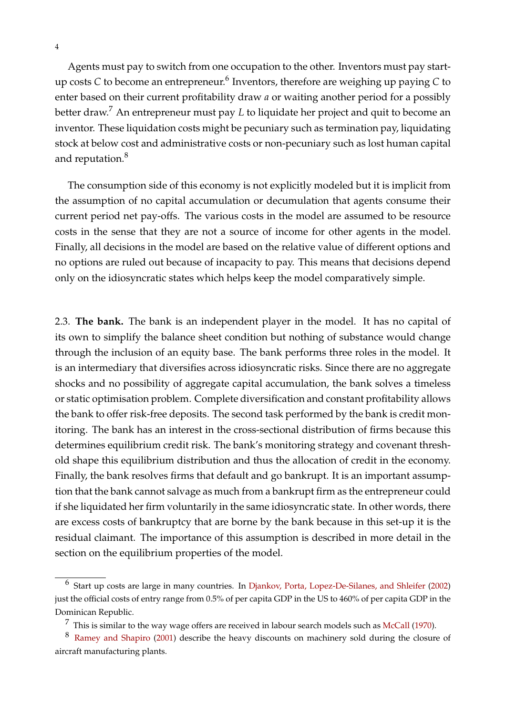Agents must pay to switch from one occupation to the other. Inventors must pay start-up costs C to become an entrepreneur.<sup>[6](#page-6-0)</sup> Inventors, therefore are weighing up paying C to enter based on their current profitability draw *a* or waiting another period for a possibly better draw.<sup>[7](#page-6-1)</sup> An entrepreneur must pay *L* to liquidate her project and quit to become an inventor. These liquidation costs might be pecuniary such as termination pay, liquidating stock at below cost and administrative costs or non-pecuniary such as lost human capital and reputation.<sup>[8](#page-6-2)</sup>

The consumption side of this economy is not explicitly modeled but it is implicit from the assumption of no capital accumulation or decumulation that agents consume their current period net pay-offs. The various costs in the model are assumed to be resource costs in the sense that they are not a source of income for other agents in the model. Finally, all decisions in the model are based on the relative value of different options and no options are ruled out because of incapacity to pay. This means that decisions depend only on the idiosyncratic states which helps keep the model comparatively simple.

2.3. **The bank.** The bank is an independent player in the model. It has no capital of its own to simplify the balance sheet condition but nothing of substance would change through the inclusion of an equity base. The bank performs three roles in the model. It is an intermediary that diversifies across idiosyncratic risks. Since there are no aggregate shocks and no possibility of aggregate capital accumulation, the bank solves a timeless or static optimisation problem. Complete diversification and constant profitability allows the bank to offer risk-free deposits. The second task performed by the bank is credit monitoring. The bank has an interest in the cross-sectional distribution of firms because this determines equilibrium credit risk. The bank's monitoring strategy and covenant threshold shape this equilibrium distribution and thus the allocation of credit in the economy. Finally, the bank resolves firms that default and go bankrupt. It is an important assumption that the bank cannot salvage as much from a bankrupt firm as the entrepreneur could if she liquidated her firm voluntarily in the same idiosyncratic state. In other words, there are excess costs of bankruptcy that are borne by the bank because in this set-up it is the residual claimant. The importance of this assumption is described in more detail in the section on the equilibrium properties of the model.

<span id="page-6-0"></span><sup>&</sup>lt;sup>6</sup> Start up costs are large in many countries. In [Djankov, Porta, Lopez-De-Silanes, and Shleifer](#page-27-12) [\(2002\)](#page-27-12) just the official costs of entry range from 0.5% of per capita GDP in the US to 460% of per capita GDP in the Dominican Republic.

<span id="page-6-2"></span><span id="page-6-1"></span> $7$  This is similar to the way wage offers are received in labour search models such as [McCall](#page-27-13) [\(1970\)](#page-27-13).

<sup>8</sup> [Ramey and Shapiro](#page-27-14) [\(2001\)](#page-27-14) describe the heavy discounts on machinery sold during the closure of aircraft manufacturing plants.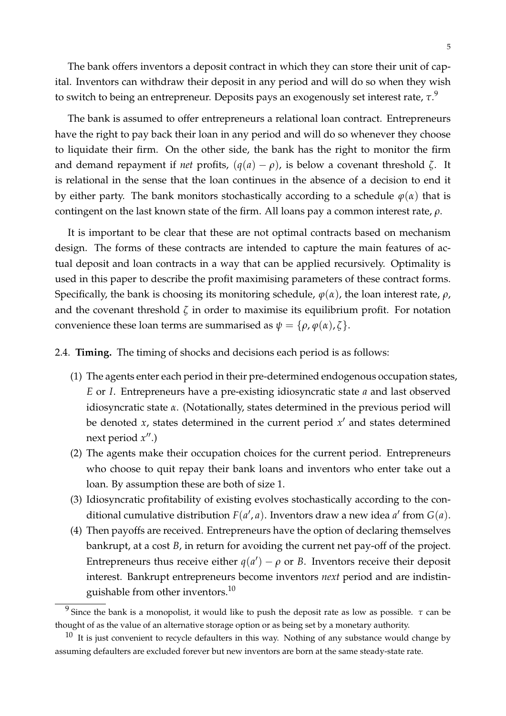5

The bank offers inventors a deposit contract in which they can store their unit of capital. Inventors can withdraw their deposit in any period and will do so when they wish to switch to being an entrepreneur. Deposits pays an exogenously set interest rate, *τ*. [9](#page-7-0)

The bank is assumed to offer entrepreneurs a relational loan contract. Entrepreneurs have the right to pay back their loan in any period and will do so whenever they choose to liquidate their firm. On the other side, the bank has the right to monitor the firm and demand repayment if *net* profits,  $(q(a) - \rho)$ , is below a covenant threshold  $\zeta$ . It is relational in the sense that the loan continues in the absence of a decision to end it by either party. The bank monitors stochastically according to a schedule  $\varphi(\alpha)$  that is contingent on the last known state of the firm. All loans pay a common interest rate, *ρ*.

It is important to be clear that these are not optimal contracts based on mechanism design. The forms of these contracts are intended to capture the main features of actual deposit and loan contracts in a way that can be applied recursively. Optimality is used in this paper to describe the profit maximising parameters of these contract forms. Specifically, the bank is choosing its monitoring schedule,  $\varphi(\alpha)$ , the loan interest rate,  $\rho$ , and the covenant threshold *ζ* in order to maximise its equilibrium profit. For notation convenience these loan terms are summarised as  $\psi = {\rho, \varphi(\alpha), \zeta}.$ 

### 2.4. **Timing.** The timing of shocks and decisions each period is as follows:

- (1) The agents enter each period in their pre-determined endogenous occupation states, *E* or *I*. Entrepreneurs have a pre-existing idiosyncratic state *a* and last observed idiosyncratic state *α*. (Notationally, states determined in the previous period will be denoted  $x$ , states determined in the current period  $x'$  and states determined next period  $x''$ .)
- (2) The agents make their occupation choices for the current period. Entrepreneurs who choose to quit repay their bank loans and inventors who enter take out a loan. By assumption these are both of size 1.
- (3) Idiosyncratic profitability of existing evolves stochastically according to the conditional cumulative distribution  $F(a', a)$ . Inventors draw a new idea  $a'$  from  $G(a)$ .
- (4) Then payoffs are received. Entrepreneurs have the option of declaring themselves bankrupt, at a cost *B*, in return for avoiding the current net pay-off of the project. Entrepreneurs thus receive either  $q(a') - \rho$  or *B*. Inventors receive their deposit interest. Bankrupt entrepreneurs become inventors *next* period and are indistin-guishable from other inventors.<sup>[10](#page-7-1)</sup>

<span id="page-7-0"></span><sup>9</sup> Since the bank is a monopolist, it would like to push the deposit rate as low as possible. *τ* can be thought of as the value of an alternative storage option or as being set by a monetary authority.

<span id="page-7-1"></span> $10$  It is just convenient to recycle defaulters in this way. Nothing of any substance would change by assuming defaulters are excluded forever but new inventors are born at the same steady-state rate.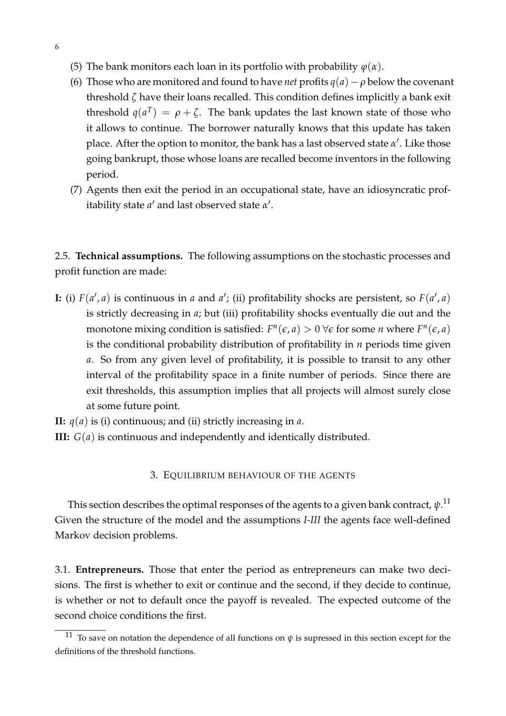- (5) The bank monitors each loan in its portfolio with probability  $\varphi(\alpha)$ .
- (6) Those who are monitored and found to have *net* profits  $q(a) \rho$  below the covenant threshold *ζ* have their loans recalled. This condition defines implicitly a bank exit threshold  $q(a^T) = \rho + \zeta$ . The bank updates the last known state of those who it allows to continue. The borrower naturally knows that this update has taken place. After the option to monitor, the bank has a last observed state *α'*. Like those going bankrupt, those whose loans are recalled become inventors in the following period.
- (7) Agents then exit the period in an occupational state, have an idiosyncratic profitability state *a'* and last observed state *α'*.

2.5. **Technical assumptions.** The following assumptions on the stochastic processes and profit function are made:

**I:** (i)  $F(a', a)$  is continuous in *a* and *a*<sup> $\prime$ </sup>; (ii) profitability shocks are persistent, so  $F(a', a)$ is strictly decreasing in *a*; but (iii) profitability shocks eventually die out and the monotone mixing condition is satisfied:  $F^n(\epsilon, a) > 0 \ \forall \epsilon$  for some *n* where  $F^n(\epsilon, a)$ is the conditional probability distribution of profitability in *n* periods time given *a*. So from any given level of profitability, it is possible to transit to any other interval of the profitability space in a finite number of periods. Since there are exit thresholds, this assumption implies that all projects will almost surely close at some future point.

**II:** *q*(*a*) is (i) continuous; and (ii) strictly increasing in *a*. **III:** *G*(*a*) is continuous and independently and identically distributed.

#### 3. EQUILIBRIUM BEHAVIOUR OF THE AGENTS

This section describes the optimal responses of the agents to a given bank contract,  $\psi^{.11}$  $\psi^{.11}$  $\psi^{.11}$ Given the structure of the model and the assumptions *I-III* the agents face well-defined Markov decision problems.

3.1. **Entrepreneurs.** Those that enter the period as entrepreneurs can make two decisions. The first is whether to exit or continue and the second, if they decide to continue, is whether or not to default once the payoff is revealed. The expected outcome of the second choice conditions the first.

<span id="page-8-0"></span><sup>&</sup>lt;sup>11</sup> To save on notation the dependence of all functions on  $\psi$  is supressed in this section except for the definitions of the threshold functions.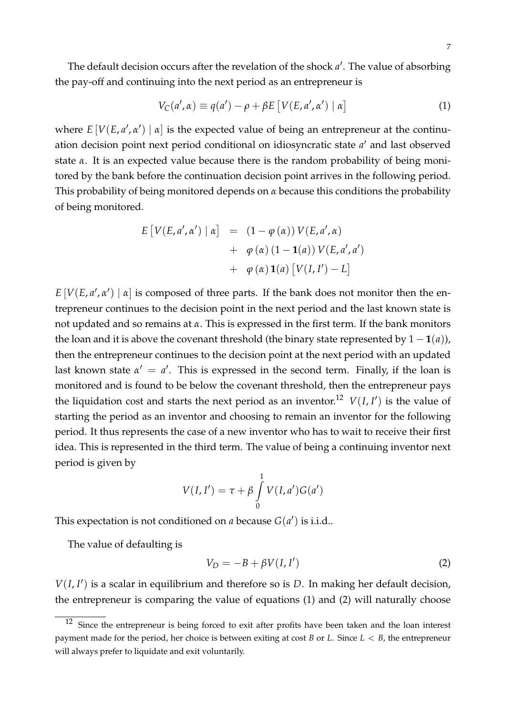The default decision occurs after the revelation of the shock a'. The value of absorbing the pay-off and continuing into the next period as an entrepreneur is

<span id="page-9-1"></span>
$$
V_C(a', \alpha) \equiv q(a') - \rho + \beta E \left[ V(E, a', \alpha') \mid \alpha \right] \tag{1}
$$

where  $E[V(E, a', a')]$   $\alpha$  is the expected value of being an entrepreneur at the continuation decision point next period conditional on idiosyncratic state a' and last observed state *α*. It is an expected value because there is the random probability of being monitored by the bank before the continuation decision point arrives in the following period. This probability of being monitored depends on *α* because this conditions the probability of being monitored.

$$
E[V(E, a', \alpha') | \alpha] = (1 - \varphi(\alpha)) V(E, a', \alpha)
$$
  
+  $\varphi(\alpha) (1 - \mathbf{1}(a)) V(E, a', a')$   
+  $\varphi(\alpha) \mathbf{1}(a) [V(I, I') - L]$ 

 $E[V(E, a', a') | a]$  is composed of three parts. If the bank does not monitor then the entrepreneur continues to the decision point in the next period and the last known state is not updated and so remains at *α*. This is expressed in the first term. If the bank monitors the loan and it is above the covenant threshold (the binary state represented by  $1 - \mathbf{1}(a)$ ), then the entrepreneur continues to the decision point at the next period with an updated last known state  $\alpha' = \alpha'$ . This is expressed in the second term. Finally, if the loan is monitored and is found to be below the covenant threshold, then the entrepreneur pays the liquidation cost and starts the next period as an inventor.<sup>[12](#page-9-0)</sup>  $V(I, I')$  is the value of starting the period as an inventor and choosing to remain an inventor for the following period. It thus represents the case of a new inventor who has to wait to receive their first idea. This is represented in the third term. The value of being a continuing inventor next period is given by

$$
V(I, I') = \tau + \beta \int_{0}^{1} V(I, a') G(a')
$$

This expectation is not conditioned on *a* because  $G(a')$  is i.i.d..

The value of defaulting is

<span id="page-9-2"></span>
$$
V_D = -B + \beta V(I, I')
$$
 (2)

 $V(I, I')$  is a scalar in equilibrium and therefore so is  $D$ . In making her default decision, the entrepreneur is comparing the value of equations [\(1\)](#page-9-1) and [\(2\)](#page-9-2) will naturally choose

<span id="page-9-0"></span> $12$  Since the entrepreneur is being forced to exit after profits have been taken and the loan interest payment made for the period, her choice is between exiting at cost *B* or *L*. Since *L* < *B*, the entrepreneur will always prefer to liquidate and exit voluntarily.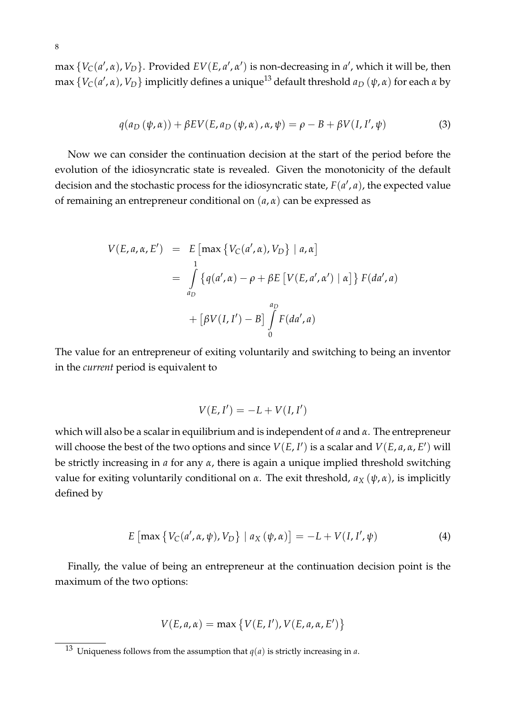max  $\{V_C(a', \alpha), V_D\}$ . Provided  $EV(E, a', \alpha')$  is non-decreasing in  $a'$ , which it will be, then max  $\{V_C(a', \alpha), V_D\}$  implicitly defines a unique<sup>[13](#page-10-0)</sup> default threshold  $a_D\left(\psi, \alpha\right)$  for each  $\alpha$  by

$$
q(a_D(\psi,\alpha)) + \beta EV(E, a_D(\psi,\alpha), \alpha, \psi) = \rho - B + \beta V(I, I', \psi)
$$
\n(3)

Now we can consider the continuation decision at the start of the period before the evolution of the idiosyncratic state is revealed. Given the monotonicity of the default decision and the stochastic process for the idiosyncratic state,  $F(a', a)$ , the expected value of remaining an entrepreneur conditional on (*a*, *α*) can be expressed as

$$
V(E, a, \alpha, E') = E \left[ \max \{ V_C(a', \alpha), V_D \} \mid a, \alpha \right]
$$
  
= 
$$
\int_{a_D}^{1} \{ q(a', \alpha) - \rho + \beta E \left[ V(E, a', \alpha') \mid \alpha \right] \} F(da', a)
$$
  
+ 
$$
\left[ \beta V(I, I') - B \right] \int_{0}^{a_D} F(da', a)
$$

The value for an entrepreneur of exiting voluntarily and switching to being an inventor in the *current* period is equivalent to

$$
V(E, I') = -L + V(I, I')
$$

which will also be a scalar in equilibrium and is independent of *a* and *α*. The entrepreneur will choose the best of the two options and since  $V(E, I')$  is a scalar and  $V(E, a, \alpha, E')$  will be strictly increasing in *a* for any *α*, there is again a unique implied threshold switching value for exiting voluntarily conditional on *α*. The exit threshold, *a<sup>X</sup>* (*ψ*, *α*), is implicitly defined by

<span id="page-10-1"></span>
$$
E\left[\max\left\{V_{C}(a',\alpha,\psi),V_{D}\right\}\mid a_{X}\left(\psi,\alpha\right)\right]=-L+V(I,I',\psi)
$$
\n(4)

Finally, the value of being an entrepreneur at the continuation decision point is the maximum of the two options:

$$
V(E, a, \alpha) = \max \{ V(E, I'), V(E, a, \alpha, E') \}
$$

<span id="page-10-0"></span> $\overline{13}$  Uniqueness follows from the assumption that  $q(a)$  is strictly increasing in *a*.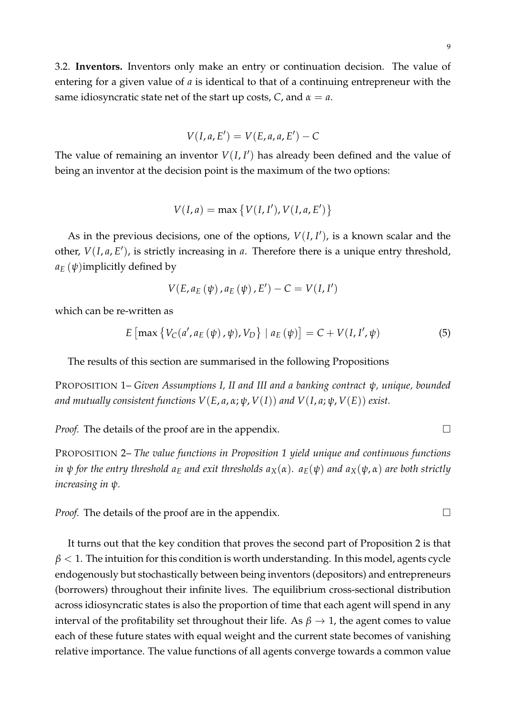9

3.2. **Inventors.** Inventors only make an entry or continuation decision. The value of entering for a given value of *a* is identical to that of a continuing entrepreneur with the same idiosyncratic state net of the start up costs, *C*, and *α* = *a*.

$$
V(I,a,E')=V(E,a,a,E')-C
$$

The value of remaining an inventor  $V(I, I')$  has already been defined and the value of being an inventor at the decision point is the maximum of the two options:

$$
V(I,a) = \max\{V(I,I'), V(I,a,E')\}
$$

As in the previous decisions, one of the options,  $V(I, I')$ , is a known scalar and the other,  $V(I, a, E')$ , is strictly increasing in *a*. Therefore there is a unique entry threshold,  $a_E(\psi)$ implicitly defined by

$$
V(E, a_E(\psi), a_E(\psi), E') - C = V(I, I')
$$

which can be re-written as

<span id="page-11-0"></span>
$$
E\left[\max\left\{V_{C}(a', a_{E}(\psi), \psi), V_{D}\right\} \mid a_{E}(\psi)\right] = C + V(I, I', \psi)
$$
\n(5)

The results of this section are summarised in the following Propositions

PROPOSITION 1– *Given Assumptions I, II and III and a banking contract ψ, unique, bounded and mutually consistent functions*  $V(E, a, \alpha; \psi, V(I))$  *and*  $V(I, a; \psi, V(E))$  *exist.* 

*Proof.* The details of the proof are in the appendix.  $\Box$ 

PROPOSITION 2– *The value functions in Proposition 1 yield unique and continuous functions in*  $\psi$  *for the entry threshold*  $a_E$  *<i>and exit thresholds*  $a_X(\alpha)$ *.*  $a_E(\psi)$  *and*  $a_X(\psi, \alpha)$  *are both strictly increasing in ψ.*

*Proof.* The details of the proof are in the appendix.

It turns out that the key condition that proves the second part of Proposition 2 is that  $\beta$  < 1. The intuition for this condition is worth understanding. In this model, agents cycle endogenously but stochastically between being inventors (depositors) and entrepreneurs (borrowers) throughout their infinite lives. The equilibrium cross-sectional distribution across idiosyncratic states is also the proportion of time that each agent will spend in any interval of the profitability set throughout their life. As  $\beta \rightarrow 1$ , the agent comes to value each of these future states with equal weight and the current state becomes of vanishing relative importance. The value functions of all agents converge towards a common value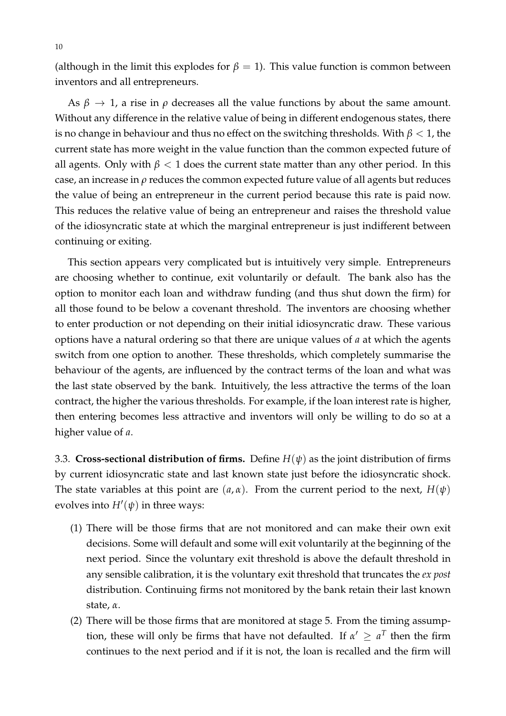(although in the limit this explodes for  $\beta = 1$ ). This value function is common between inventors and all entrepreneurs.

As  $\beta \to 1$ , a rise in  $\rho$  decreases all the value functions by about the same amount. Without any difference in the relative value of being in different endogenous states, there is no change in behaviour and thus no effect on the switching thresholds. With  $\beta$  < 1, the current state has more weight in the value function than the common expected future of all agents. Only with  $\beta$  < 1 does the current state matter than any other period. In this case, an increase in *ρ* reduces the common expected future value of all agents but reduces the value of being an entrepreneur in the current period because this rate is paid now. This reduces the relative value of being an entrepreneur and raises the threshold value of the idiosyncratic state at which the marginal entrepreneur is just indifferent between continuing or exiting.

This section appears very complicated but is intuitively very simple. Entrepreneurs are choosing whether to continue, exit voluntarily or default. The bank also has the option to monitor each loan and withdraw funding (and thus shut down the firm) for all those found to be below a covenant threshold. The inventors are choosing whether to enter production or not depending on their initial idiosyncratic draw. These various options have a natural ordering so that there are unique values of *a* at which the agents switch from one option to another. These thresholds, which completely summarise the behaviour of the agents, are influenced by the contract terms of the loan and what was the last state observed by the bank. Intuitively, the less attractive the terms of the loan contract, the higher the various thresholds. For example, if the loan interest rate is higher, then entering becomes less attractive and inventors will only be willing to do so at a higher value of *a*.

3.3. **Cross-sectional distribution of firms.** Define *H*(*ψ*) as the joint distribution of firms by current idiosyncratic state and last known state just before the idiosyncratic shock. The state variables at this point are  $(a, \alpha)$ . From the current period to the next,  $H(\psi)$ evolves into  $H'(\psi)$  in three ways:

- (1) There will be those firms that are not monitored and can make their own exit decisions. Some will default and some will exit voluntarily at the beginning of the next period. Since the voluntary exit threshold is above the default threshold in any sensible calibration, it is the voluntary exit threshold that truncates the *ex post* distribution. Continuing firms not monitored by the bank retain their last known state, *α*.
- (2) There will be those firms that are monitored at stage 5. From the timing assumption, these will only be firms that have not defaulted. If  $\alpha' \geq a^T$  then the firm continues to the next period and if it is not, the loan is recalled and the firm will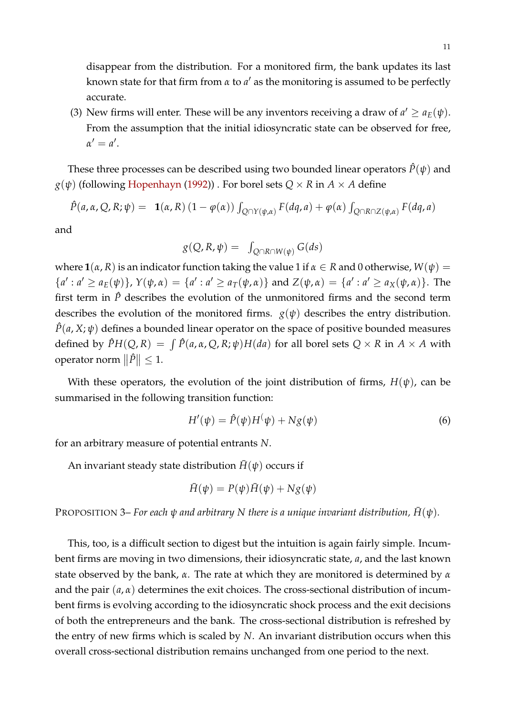disappear from the distribution. For a monitored firm, the bank updates its last known state for that firm from  $\alpha$  to  $a'$  as the monitoring is assumed to be perfectly accurate.

(3) New firms will enter. These will be any inventors receiving a draw of  $a' \ge a_E(\psi)$ . From the assumption that the initial idiosyncratic state can be observed for free,  $\alpha' = a'.$ 

These three processes can be described using two bounded linear operators  $\hat{P}(\psi)$  and  $g(\psi)$  (following [Hopenhayn](#page-27-11) [\(1992\)](#page-27-11)). For borel sets  $Q \times R$  in  $A \times A$  define

$$
\hat{P}(a,\alpha,Q,R;\psi) = \mathbf{1}(\alpha,R) \left(1 - \varphi(\alpha)\right) \int_{Q \cap Y(\psi,\alpha)} F(dq,a) + \varphi(\alpha) \int_{Q \cap R \cap Z(\psi,\alpha)} F(dq,a)
$$

and

$$
g(Q, R, \psi) = \int_{Q \cap R \cap W(\psi)} G(ds)
$$

where  $\mathbf{1}( \alpha, R)$  is an indicator function taking the value 1 if  $\alpha \in R$  and 0 otherwise,  $W(\psi) =$  ${a': a' \ge a_E(\psi)}$ ,  $Y(\psi, \alpha) = {a': a' \ge a_T(\psi, \alpha)}$  and  $Z(\psi, \alpha) = {a': a' \ge a_X(\psi, \alpha)}$ . The first term in  $\hat{P}$  describes the evolution of the unmonitored firms and the second term describes the evolution of the monitored firms.  $g(\psi)$  describes the entry distribution.  $\hat{P}(a, X; \psi)$  defines a bounded linear operator on the space of positive bounded measures defined by  $\hat{P}H(Q,R) = \int \hat{P}(a,\alpha,Q,R;\psi)H(da)$  for all borel sets  $Q \times R$  in  $A \times A$  with operator norm  $\|\hat{P}\| \leq 1$ .

With these operators, the evolution of the joint distribution of firms,  $H(\psi)$ , can be summarised in the following transition function:

<span id="page-13-1"></span>
$$
H'(\psi) = \hat{P}(\psi)H(\psi) + Ng(\psi)
$$
\n(6)

for an arbitrary measure of potential entrants *N*.

An invariant steady state distribution  $\bar{H}(\psi)$  occurs if

$$
\bar{H}(\psi) = P(\psi)\bar{H}(\psi) + Ng(\psi)
$$

<span id="page-13-0"></span>**PROPOSITION 3–** *For each*  $\psi$  *and arbitrary* N there is a unique invariant distribution,  $\bar{H}(\psi)$ .

This, too, is a difficult section to digest but the intuition is again fairly simple. Incumbent firms are moving in two dimensions, their idiosyncratic state, *a*, and the last known state observed by the bank, *α*. The rate at which they are monitored is determined by *α* and the pair (*a*, *α*) determines the exit choices. The cross-sectional distribution of incumbent firms is evolving according to the idiosyncratic shock process and the exit decisions of both the entrepreneurs and the bank. The cross-sectional distribution is refreshed by the entry of new firms which is scaled by *N*. An invariant distribution occurs when this overall cross-sectional distribution remains unchanged from one period to the next.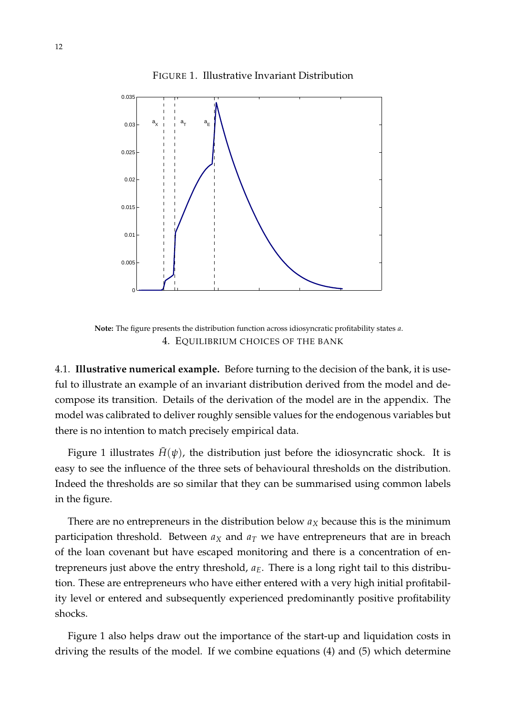<span id="page-14-0"></span>FIGURE 1. Illustrative Invariant Distribution



**Note:** The figure presents the distribution function across idiosyncratic profitability states *a*. 4. EQUILIBRIUM CHOICES OF THE BANK

4.1. **Illustrative numerical example.** Before turning to the decision of the bank, it is useful to illustrate an example of an invariant distribution derived from the model and decompose its transition. Details of the derivation of the model are in the appendix. The model was calibrated to deliver roughly sensible values for the endogenous variables but there is no intention to match precisely empirical data.

Figure [1](#page-14-0) illustrates  $\bar{H}(\psi)$ , the distribution just before the idiosyncratic shock. It is easy to see the influence of the three sets of behavioural thresholds on the distribution. Indeed the thresholds are so similar that they can be summarised using common labels in the figure.

There are no entrepreneurs in the distribution below *a<sup>X</sup>* because this is the minimum participation threshold. Between  $a_X$  and  $a_T$  we have entrepreneurs that are in breach of the loan covenant but have escaped monitoring and there is a concentration of entrepreneurs just above the entry threshold, *aE*. There is a long right tail to this distribution. These are entrepreneurs who have either entered with a very high initial profitability level or entered and subsequently experienced predominantly positive profitability shocks.

Figure [1](#page-14-0) also helps draw out the importance of the start-up and liquidation costs in driving the results of the model. If we combine equations [\(4\)](#page-10-1) and [\(5\)](#page-11-0) which determine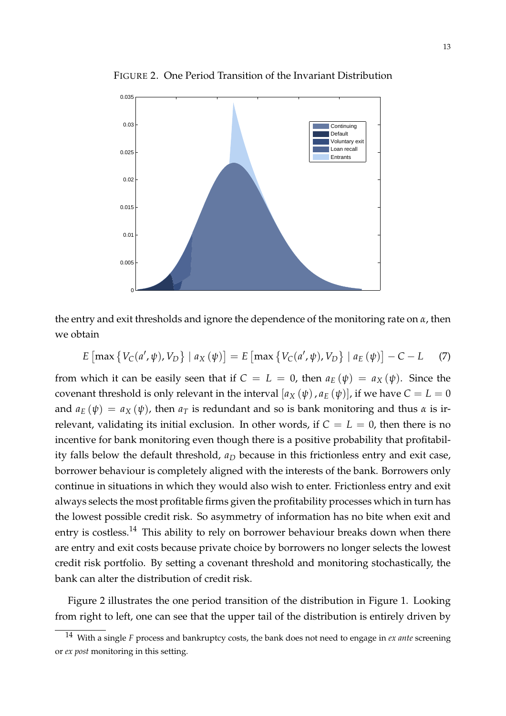

<span id="page-15-1"></span>FIGURE 2. One Period Transition of the Invariant Distribution

the entry and exit thresholds and ignore the dependence of the monitoring rate on *α*, then we obtain

<span id="page-15-2"></span>
$$
E\left[\max\left\{V_C(a',\psi),V_D\right\}\mid a_X\left(\psi\right)\right] = E\left[\max\left\{V_C(a',\psi),V_D\right\}\mid a_E\left(\psi\right)\right] - C - L \tag{7}
$$

from which it can be easily seen that if  $C = L = 0$ , then  $a_E(\psi) = a_X(\psi)$ . Since the covenant threshold is only relevant in the interval  $[a_X(\psi), a_E(\psi)]$ , if we have  $C = L = 0$ and  $a_E(\psi) = a_X(\psi)$ , then  $a_T$  is redundant and so is bank monitoring and thus  $\alpha$  is irrelevant, validating its initial exclusion. In other words, if  $C = L = 0$ , then there is no incentive for bank monitoring even though there is a positive probability that profitability falls below the default threshold, *a<sup>D</sup>* because in this frictionless entry and exit case, borrower behaviour is completely aligned with the interests of the bank. Borrowers only continue in situations in which they would also wish to enter. Frictionless entry and exit always selects the most profitable firms given the profitability processes which in turn has the lowest possible credit risk. So asymmetry of information has no bite when exit and entry is costless.<sup>[14](#page-15-0)</sup> This ability to rely on borrower behaviour breaks down when there are entry and exit costs because private choice by borrowers no longer selects the lowest credit risk portfolio. By setting a covenant threshold and monitoring stochastically, the bank can alter the distribution of credit risk.

Figure [2](#page-15-1) illustrates the one period transition of the distribution in Figure [1.](#page-14-0) Looking from right to left, one can see that the upper tail of the distribution is entirely driven by

<span id="page-15-0"></span><sup>14</sup> With a single *F* process and bankruptcy costs, the bank does not need to engage in *ex ante* screening or *ex post* monitoring in this setting.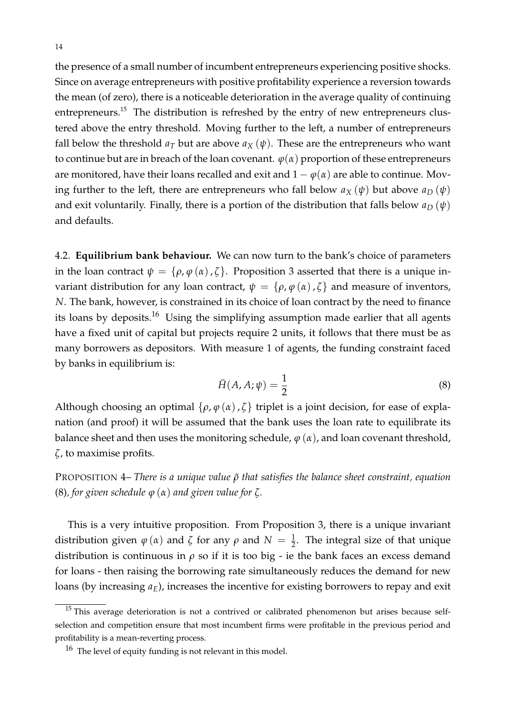the presence of a small number of incumbent entrepreneurs experiencing positive shocks. Since on average entrepreneurs with positive profitability experience a reversion towards the mean (of zero), there is a noticeable deterioration in the average quality of continuing entrepreneurs.<sup>[15](#page-16-0)</sup> The distribution is refreshed by the entry of new entrepreneurs clustered above the entry threshold. Moving further to the left, a number of entrepreneurs fall below the threshold  $a_T$  but are above  $a_X(\psi)$ . These are the entrepreneurs who want to continue but are in breach of the loan covenant.  $\varphi(\alpha)$  proportion of these entrepreneurs are monitored, have their loans recalled and exit and  $1 - \varphi(\alpha)$  are able to continue. Moving further to the left, there are entrepreneurs who fall below  $a_X(\psi)$  but above  $a_D(\psi)$ and exit voluntarily. Finally, there is a portion of the distribution that falls below  $a_D(\psi)$ and defaults.

4.2. **Equilibrium bank behaviour.** We can now turn to the bank's choice of parameters in the loan contract  $\psi = {\rho, \varphi(\alpha), \zeta}$ . Proposition [3](#page-13-0) asserted that there is a unique invariant distribution for any loan contract,  $\psi = {\rho, \varphi(\alpha), \zeta}$  and measure of inventors, *N*. The bank, however, is constrained in its choice of loan contract by the need to finance its loans by deposits.<sup>[16](#page-16-1)</sup> Using the simplifying assumption made earlier that all agents have a fixed unit of capital but projects require 2 units, it follows that there must be as many borrowers as depositors. With measure 1 of agents, the funding constraint faced by banks in equilibrium is:

<span id="page-16-2"></span>
$$
\bar{H}(A, A; \psi) = \frac{1}{2} \tag{8}
$$

Although choosing an optimal  $\{\rho, \varphi(\alpha), \zeta\}$  triplet is a joint decision, for ease of explanation (and proof) it will be assumed that the bank uses the loan rate to equilibrate its balance sheet and then uses the monitoring schedule,  $\varphi(\alpha)$ , and loan covenant threshold, *ζ*, to maximise profits.

PROPOSITION 4– *There is a unique value ρ*˜ *that satisfies the balance sheet constraint, equation* [\(8\)](#page-16-2)*, for given schedule ϕ* (*α*) *and given value for ζ.*

This is a very intuitive proposition. From Proposition [3,](#page-13-0) there is a unique invariant distribution given  $\varphi(\alpha)$  and  $\zeta$  for any  $\rho$  and  $N = \frac{1}{2}$ . The integral size of that unique distribution is continuous in  $\rho$  so if it is too big - ie the bank faces an excess demand for loans - then raising the borrowing rate simultaneously reduces the demand for new loans (by increasing  $a_E$ ), increases the incentive for existing borrowers to repay and exit

<span id="page-16-0"></span> $15$  This average deterioration is not a contrived or calibrated phenomenon but arises because selfselection and competition ensure that most incumbent firms were profitable in the previous period and profitability is a mean-reverting process.

<span id="page-16-1"></span><sup>&</sup>lt;sup>16</sup> The level of equity funding is not relevant in this model.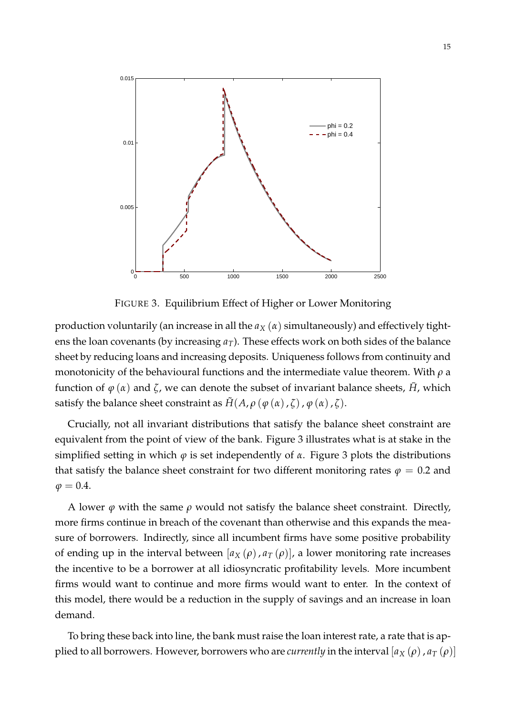

<span id="page-17-0"></span>FIGURE 3. Equilibrium Effect of Higher or Lower Monitoring

production voluntarily (an increase in all the  $a_X(\alpha)$  simultaneously) and effectively tightens the loan covenants (by increasing *aT*). These effects work on both sides of the balance sheet by reducing loans and increasing deposits. Uniqueness follows from continuity and monotonicity of the behavioural functions and the intermediate value theorem. With *ρ* a function of  $\varphi(\alpha)$  and  $\zeta$ , we can denote the subset of invariant balance sheets,  $\bar{H}$ , which satisfy the balance sheet constraint as  $\tilde{H}(A, \rho \varphi(\alpha), \zeta), \varphi(\alpha), \zeta)$ .

Crucially, not all invariant distributions that satisfy the balance sheet constraint are equivalent from the point of view of the bank. Figure [3](#page-17-0) illustrates what is at stake in the simplified setting in which  $\varphi$  is set independently of  $\alpha$ . Figure [3](#page-17-0) plots the distributions that satisfy the balance sheet constraint for two different monitoring rates  $\varphi = 0.2$  and  $\varphi = 0.4$ .

A lower  $\varphi$  with the same  $\rho$  would not satisfy the balance sheet constraint. Directly, more firms continue in breach of the covenant than otherwise and this expands the measure of borrowers. Indirectly, since all incumbent firms have some positive probability of ending up in the interval between  $[a_X(\rho), a_T(\rho)]$ , a lower monitoring rate increases the incentive to be a borrower at all idiosyncratic profitability levels. More incumbent firms would want to continue and more firms would want to enter. In the context of this model, there would be a reduction in the supply of savings and an increase in loan demand.

To bring these back into line, the bank must raise the loan interest rate, a rate that is applied to all borrowers. However, borrowers who are *currently* in the interval  $[a_X(\rho), a_T(\rho)]$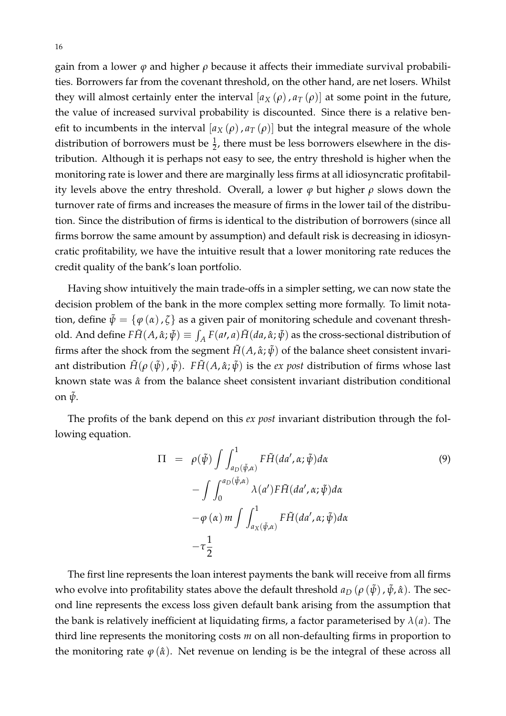gain from a lower *ϕ* and higher *ρ* because it affects their immediate survival probabilities. Borrowers far from the covenant threshold, on the other hand, are net losers. Whilst they will almost certainly enter the interval  $[a_X(\rho), a_T(\rho)]$  at some point in the future, the value of increased survival probability is discounted. Since there is a relative benefit to incumbents in the interval  $[a_X(\rho), a_T(\rho)]$  but the integral measure of the whole distribution of borrowers must be  $\frac{1}{2}$ , there must be less borrowers elsewhere in the distribution. Although it is perhaps not easy to see, the entry threshold is higher when the monitoring rate is lower and there are marginally less firms at all idiosyncratic profitability levels above the entry threshold. Overall, a lower  $\varphi$  but higher  $\rho$  slows down the turnover rate of firms and increases the measure of firms in the lower tail of the distribution. Since the distribution of firms is identical to the distribution of borrowers (since all firms borrow the same amount by assumption) and default risk is decreasing in idiosyncratic profitability, we have the intuitive result that a lower monitoring rate reduces the credit quality of the bank's loan portfolio.

Having show intuitively the main trade-offs in a simpler setting, we can now state the decision problem of the bank in the more complex setting more formally. To limit notation, define  $\tilde{\psi} = {\phi(\alpha), \zeta}$  as a given pair of monitoring schedule and covenant threshold. And define  $F\tilde{H}(A,\hat{\alpha};\tilde{\psi}) \equiv \int_A F(a\prime,a)\tilde{H}(da,\hat{\alpha};\tilde{\psi})$  as the cross-sectional distribution of firms after the shock from the segment  $\tilde{H}(A, \hat{\alpha}; \tilde{\psi})$  of the balance sheet consistent invariant distribution  $\tilde{H}(\rho(\tilde{\psi}), \tilde{\psi})$ .  $F\tilde{H}(A, \hat{\alpha}; \tilde{\psi})$  is the *ex post* distribution of firms whose last known state was *α*ˆ from the balance sheet consistent invariant distribution conditional on  $\tilde{\psi}$ .

The profits of the bank depend on this *ex post* invariant distribution through the following equation.

$$
\Pi = \rho(\tilde{\psi}) \int \int_{a_D(\tilde{\psi}, \alpha)}^1 F \tilde{H}(da', \alpha; \tilde{\psi}) d\alpha
$$
\n
$$
- \int \int_0^{a_D(\tilde{\psi}, \alpha)} \lambda(a') F \tilde{H}(da', \alpha; \tilde{\psi}) d\alpha
$$
\n
$$
- \varphi(\alpha) m \int \int_{a_X(\tilde{\psi}, \alpha)}^1 F \tilde{H}(da', \alpha; \tilde{\psi}) d\alpha
$$
\n
$$
- \tau \frac{1}{2}
$$
\n(9)

The first line represents the loan interest payments the bank will receive from all firms who evolve into profitability states above the default threshold  $a_D$  ( $\rho$  ( $\tilde{\psi}$ ),  $\tilde{\psi}$ ,  $\hat{\alpha}$ ). The second line represents the excess loss given default bank arising from the assumption that the bank is relatively inefficient at liquidating firms, a factor parameterised by  $\lambda(a)$ . The third line represents the monitoring costs *m* on all non-defaulting firms in proportion to the monitoring rate  $\varphi(\hat{\alpha})$ . Net revenue on lending is be the integral of these across all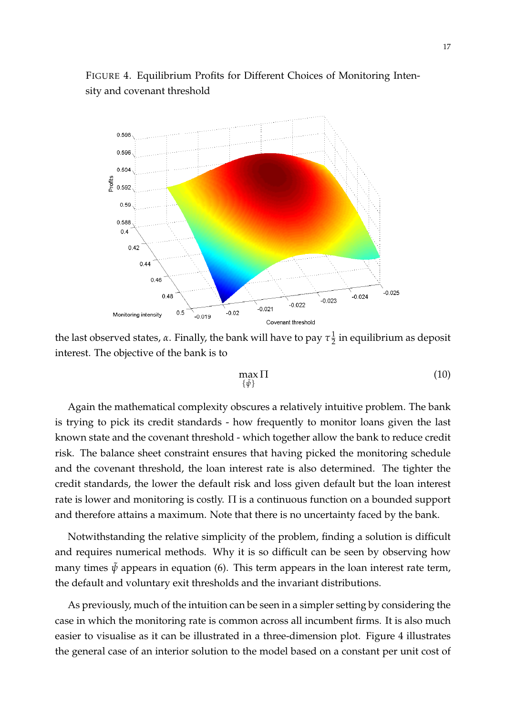

<span id="page-19-0"></span>FIGURE 4. Equilibrium Profits for Different Choices of Monitoring Intensity and covenant threshold

the last observed states, *α*. Finally, the bank will have to pay *τ* 1  $\frac{1}{2}$  in equilibrium as deposit interest. The objective of the bank is to

$$
\max_{\{\tilde{\psi}\}} \Pi \tag{10}
$$

Again the mathematical complexity obscures a relatively intuitive problem. The bank is trying to pick its credit standards - how frequently to monitor loans given the last known state and the covenant threshold - which together allow the bank to reduce credit risk. The balance sheet constraint ensures that having picked the monitoring schedule and the covenant threshold, the loan interest rate is also determined. The tighter the credit standards, the lower the default risk and loss given default but the loan interest rate is lower and monitoring is costly.  $\Pi$  is a continuous function on a bounded support and therefore attains a maximum. Note that there is no uncertainty faced by the bank.

Notwithstanding the relative simplicity of the problem, finding a solution is difficult and requires numerical methods. Why it is so difficult can be seen by observing how many times  $\hat{\psi}$  appears in equation (6). This term appears in the loan interest rate term, the default and voluntary exit thresholds and the invariant distributions.

As previously, much of the intuition can be seen in a simpler setting by considering the case in which the monitoring rate is common across all incumbent firms. It is also much easier to visualise as it can be illustrated in a three-dimension plot. Figure [4](#page-19-0) illustrates the general case of an interior solution to the model based on a constant per unit cost of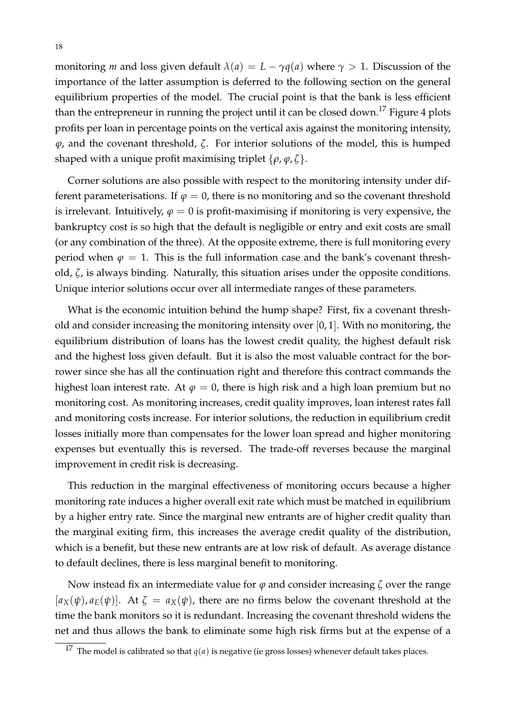monitoring *m* and loss given default  $\lambda(a) = L - \gamma q(a)$  where  $\gamma > 1$ . Discussion of the importance of the latter assumption is deferred to the following section on the general equilibrium properties of the model. The crucial point is that the bank is less efficient than the entrepreneur in running the project until it can be closed down.<sup>[17](#page-20-0)</sup> Figure [4](#page-19-0) plots profits per loan in percentage points on the vertical axis against the monitoring intensity, *ϕ*, and the covenant threshold, *ζ*. For interior solutions of the model, this is humped shaped with a unique profit maximising triplet  $\{\rho, \varphi, \zeta\}$ .

Corner solutions are also possible with respect to the monitoring intensity under different parameterisations. If  $\varphi = 0$ , there is no monitoring and so the covenant threshold is irrelevant. Intuitively,  $\varphi = 0$  is profit-maximising if monitoring is very expensive, the bankruptcy cost is so high that the default is negligible or entry and exit costs are small (or any combination of the three). At the opposite extreme, there is full monitoring every period when  $\varphi = 1$ . This is the full information case and the bank's covenant threshold, *ζ*, is always binding. Naturally, this situation arises under the opposite conditions. Unique interior solutions occur over all intermediate ranges of these parameters.

What is the economic intuition behind the hump shape? First, fix a covenant threshold and consider increasing the monitoring intensity over [0, 1]. With no monitoring, the equilibrium distribution of loans has the lowest credit quality, the highest default risk and the highest loss given default. But it is also the most valuable contract for the borrower since she has all the continuation right and therefore this contract commands the highest loan interest rate. At  $\varphi = 0$ , there is high risk and a high loan premium but no monitoring cost. As monitoring increases, credit quality improves, loan interest rates fall and monitoring costs increase. For interior solutions, the reduction in equilibrium credit losses initially more than compensates for the lower loan spread and higher monitoring expenses but eventually this is reversed. The trade-off reverses because the marginal improvement in credit risk is decreasing.

This reduction in the marginal effectiveness of monitoring occurs because a higher monitoring rate induces a higher overall exit rate which must be matched in equilibrium by a higher entry rate. Since the marginal new entrants are of higher credit quality than the marginal exiting firm, this increases the average credit quality of the distribution, which is a benefit, but these new entrants are at low risk of default. As average distance to default declines, there is less marginal benefit to monitoring.

Now instead fix an intermediate value for  $\varphi$  and consider increasing  $\zeta$  over the range  $[a_X(\psi), a_E(\psi)]$ . At  $\zeta = a_X(\psi)$ , there are no firms below the covenant threshold at the time the bank monitors so it is redundant. Increasing the covenant threshold widens the net and thus allows the bank to eliminate some high risk firms but at the expense of a

<span id="page-20-0"></span><sup>&</sup>lt;sup>17</sup> The model is calibrated so that  $q(a)$  is negative (ie gross losses) whenever default takes places.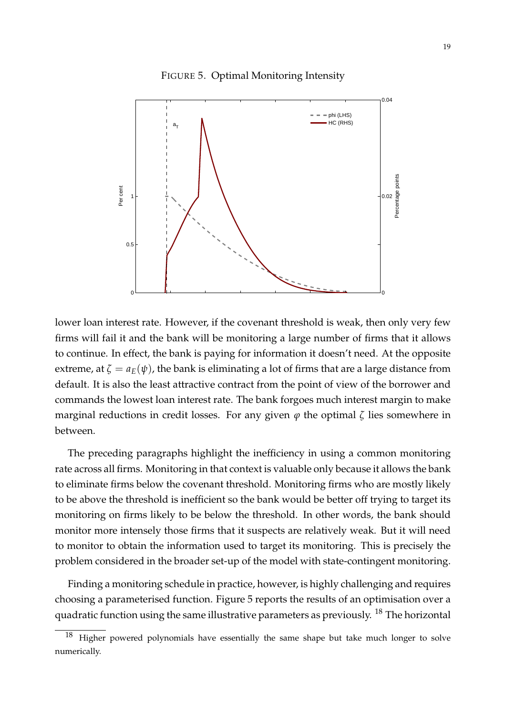<span id="page-21-0"></span>



lower loan interest rate. However, if the covenant threshold is weak, then only very few firms will fail it and the bank will be monitoring a large number of firms that it allows to continue. In effect, the bank is paying for information it doesn't need. At the opposite extreme, at  $\zeta = a_E(\psi)$ , the bank is eliminating a lot of firms that are a large distance from default. It is also the least attractive contract from the point of view of the borrower and commands the lowest loan interest rate. The bank forgoes much interest margin to make marginal reductions in credit losses. For any given  $\varphi$  the optimal  $\zeta$  lies somewhere in between.

The preceding paragraphs highlight the inefficiency in using a common monitoring rate across all firms. Monitoring in that context is valuable only because it allows the bank to eliminate firms below the covenant threshold. Monitoring firms who are mostly likely to be above the threshold is inefficient so the bank would be better off trying to target its monitoring on firms likely to be below the threshold. In other words, the bank should monitor more intensely those firms that it suspects are relatively weak. But it will need to monitor to obtain the information used to target its monitoring. This is precisely the problem considered in the broader set-up of the model with state-contingent monitoring.

Finding a monitoring schedule in practice, however, is highly challenging and requires choosing a parameterised function. Figure [5](#page-21-0) reports the results of an optimisation over a quadratic function using the same illustrative parameters as previously.  $^{18}$  $^{18}$  $^{18}$  The horizontal

<span id="page-21-1"></span>Higher powered polynomials have essentially the same shape but take much longer to solve numerically.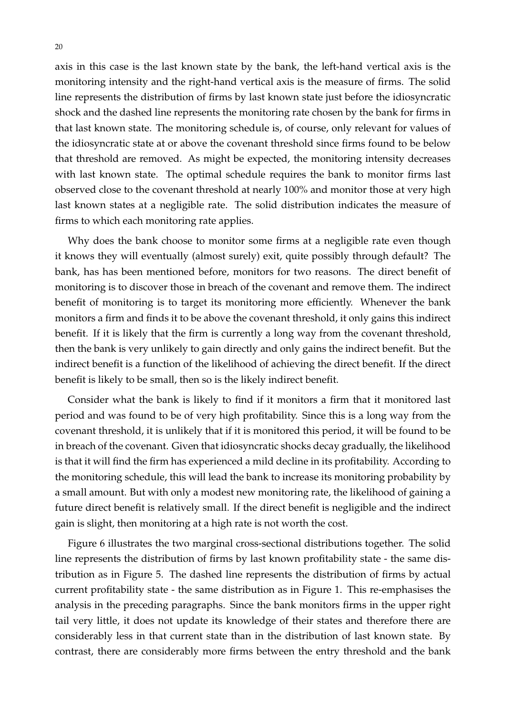axis in this case is the last known state by the bank, the left-hand vertical axis is the monitoring intensity and the right-hand vertical axis is the measure of firms. The solid line represents the distribution of firms by last known state just before the idiosyncratic shock and the dashed line represents the monitoring rate chosen by the bank for firms in that last known state. The monitoring schedule is, of course, only relevant for values of the idiosyncratic state at or above the covenant threshold since firms found to be below that threshold are removed. As might be expected, the monitoring intensity decreases with last known state. The optimal schedule requires the bank to monitor firms last observed close to the covenant threshold at nearly 100% and monitor those at very high last known states at a negligible rate. The solid distribution indicates the measure of firms to which each monitoring rate applies.

Why does the bank choose to monitor some firms at a negligible rate even though it knows they will eventually (almost surely) exit, quite possibly through default? The bank, has has been mentioned before, monitors for two reasons. The direct benefit of monitoring is to discover those in breach of the covenant and remove them. The indirect benefit of monitoring is to target its monitoring more efficiently. Whenever the bank monitors a firm and finds it to be above the covenant threshold, it only gains this indirect benefit. If it is likely that the firm is currently a long way from the covenant threshold, then the bank is very unlikely to gain directly and only gains the indirect benefit. But the indirect benefit is a function of the likelihood of achieving the direct benefit. If the direct benefit is likely to be small, then so is the likely indirect benefit.

Consider what the bank is likely to find if it monitors a firm that it monitored last period and was found to be of very high profitability. Since this is a long way from the covenant threshold, it is unlikely that if it is monitored this period, it will be found to be in breach of the covenant. Given that idiosyncratic shocks decay gradually, the likelihood is that it will find the firm has experienced a mild decline in its profitability. According to the monitoring schedule, this will lead the bank to increase its monitoring probability by a small amount. But with only a modest new monitoring rate, the likelihood of gaining a future direct benefit is relatively small. If the direct benefit is negligible and the indirect gain is slight, then monitoring at a high rate is not worth the cost.

Figure [6](#page-23-0) illustrates the two marginal cross-sectional distributions together. The solid line represents the distribution of firms by last known profitability state - the same distribution as in Figure [5.](#page-21-0) The dashed line represents the distribution of firms by actual current profitability state - the same distribution as in Figure [1.](#page-14-0) This re-emphasises the analysis in the preceding paragraphs. Since the bank monitors firms in the upper right tail very little, it does not update its knowledge of their states and therefore there are considerably less in that current state than in the distribution of last known state. By contrast, there are considerably more firms between the entry threshold and the bank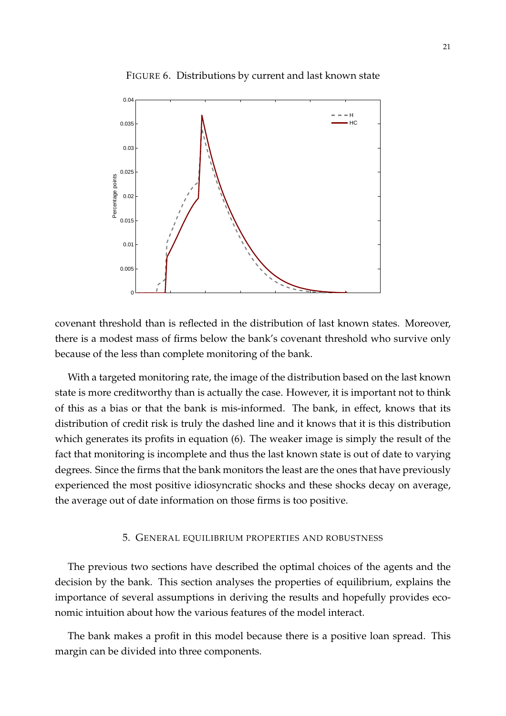

<span id="page-23-0"></span>FIGURE 6. Distributions by current and last known state

covenant threshold than is reflected in the distribution of last known states. Moreover, there is a modest mass of firms below the bank's covenant threshold who survive only because of the less than complete monitoring of the bank.

With a targeted monitoring rate, the image of the distribution based on the last known state is more creditworthy than is actually the case. However, it is important not to think of this as a bias or that the bank is mis-informed. The bank, in effect, knows that its distribution of credit risk is truly the dashed line and it knows that it is this distribution which generates its profits in equation (6). The weaker image is simply the result of the fact that monitoring is incomplete and thus the last known state is out of date to varying degrees. Since the firms that the bank monitors the least are the ones that have previously experienced the most positive idiosyncratic shocks and these shocks decay on average, the average out of date information on those firms is too positive.

## 5. GENERAL EQUILIBRIUM PROPERTIES AND ROBUSTNESS

The previous two sections have described the optimal choices of the agents and the decision by the bank. This section analyses the properties of equilibrium, explains the importance of several assumptions in deriving the results and hopefully provides economic intuition about how the various features of the model interact.

The bank makes a profit in this model because there is a positive loan spread. This margin can be divided into three components.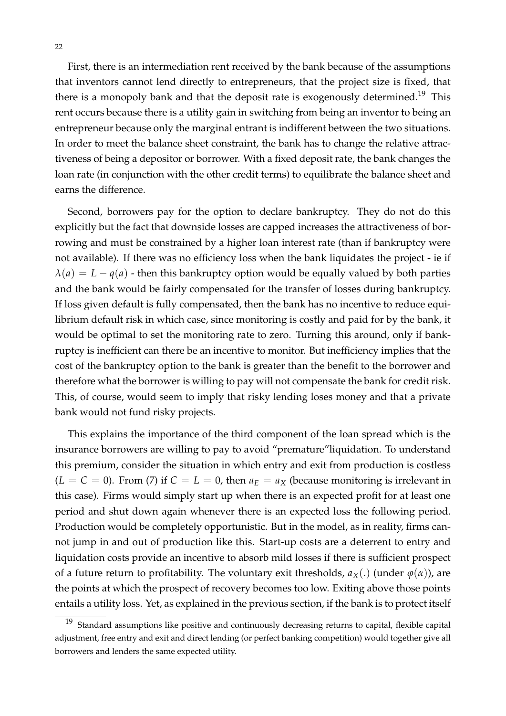First, there is an intermediation rent received by the bank because of the assumptions that inventors cannot lend directly to entrepreneurs, that the project size is fixed, that there is a monopoly bank and that the deposit rate is exogenously determined.<sup>[19](#page-24-0)</sup> This rent occurs because there is a utility gain in switching from being an inventor to being an entrepreneur because only the marginal entrant is indifferent between the two situations. In order to meet the balance sheet constraint, the bank has to change the relative attractiveness of being a depositor or borrower. With a fixed deposit rate, the bank changes the loan rate (in conjunction with the other credit terms) to equilibrate the balance sheet and earns the difference.

Second, borrowers pay for the option to declare bankruptcy. They do not do this explicitly but the fact that downside losses are capped increases the attractiveness of borrowing and must be constrained by a higher loan interest rate (than if bankruptcy were not available). If there was no efficiency loss when the bank liquidates the project - ie if  $\lambda$ (*a*) = *L* − *q*(*a*) - then this bankruptcy option would be equally valued by both parties and the bank would be fairly compensated for the transfer of losses during bankruptcy. If loss given default is fully compensated, then the bank has no incentive to reduce equilibrium default risk in which case, since monitoring is costly and paid for by the bank, it would be optimal to set the monitoring rate to zero. Turning this around, only if bankruptcy is inefficient can there be an incentive to monitor. But inefficiency implies that the cost of the bankruptcy option to the bank is greater than the benefit to the borrower and therefore what the borrower is willing to pay will not compensate the bank for credit risk. This, of course, would seem to imply that risky lending loses money and that a private bank would not fund risky projects.

This explains the importance of the third component of the loan spread which is the insurance borrowers are willing to pay to avoid "premature"liquidation. To understand this premium, consider the situation in which entry and exit from production is costless  $(L = C = 0)$ . From [\(7\)](#page-15-2) if  $C = L = 0$ , then  $a_E = a_X$  (because monitoring is irrelevant in this case). Firms would simply start up when there is an expected profit for at least one period and shut down again whenever there is an expected loss the following period. Production would be completely opportunistic. But in the model, as in reality, firms cannot jump in and out of production like this. Start-up costs are a deterrent to entry and liquidation costs provide an incentive to absorb mild losses if there is sufficient prospect of a future return to profitability. The voluntary exit thresholds,  $a_X(.)$  (under  $\varphi(\alpha)$ ), are the points at which the prospect of recovery becomes too low. Exiting above those points entails a utility loss. Yet, as explained in the previous section, if the bank is to protect itself

<span id="page-24-0"></span> $19$  Standard assumptions like positive and continuously decreasing returns to capital, flexible capital adjustment, free entry and exit and direct lending (or perfect banking competition) would together give all borrowers and lenders the same expected utility.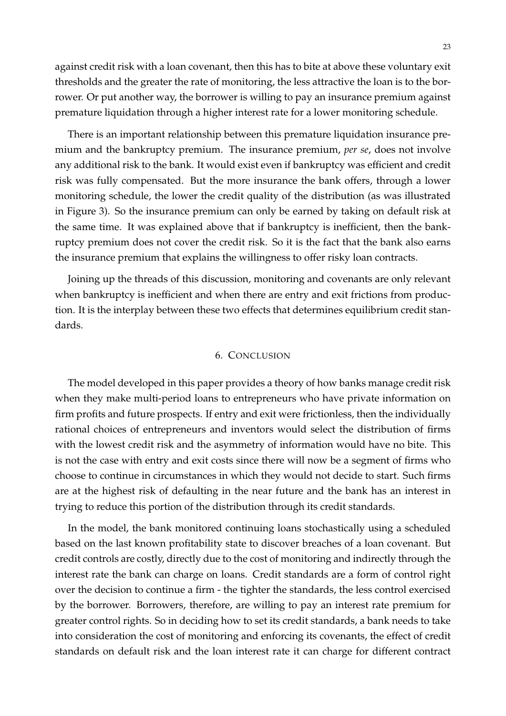against credit risk with a loan covenant, then this has to bite at above these voluntary exit thresholds and the greater the rate of monitoring, the less attractive the loan is to the borrower. Or put another way, the borrower is willing to pay an insurance premium against premature liquidation through a higher interest rate for a lower monitoring schedule.

There is an important relationship between this premature liquidation insurance premium and the bankruptcy premium. The insurance premium, *per se*, does not involve any additional risk to the bank. It would exist even if bankruptcy was efficient and credit risk was fully compensated. But the more insurance the bank offers, through a lower monitoring schedule, the lower the credit quality of the distribution (as was illustrated in Figure [3\)](#page-17-0). So the insurance premium can only be earned by taking on default risk at the same time. It was explained above that if bankruptcy is inefficient, then the bankruptcy premium does not cover the credit risk. So it is the fact that the bank also earns the insurance premium that explains the willingness to offer risky loan contracts.

Joining up the threads of this discussion, monitoring and covenants are only relevant when bankruptcy is inefficient and when there are entry and exit frictions from production. It is the interplay between these two effects that determines equilibrium credit standards.

#### 6. CONCLUSION

The model developed in this paper provides a theory of how banks manage credit risk when they make multi-period loans to entrepreneurs who have private information on firm profits and future prospects. If entry and exit were frictionless, then the individually rational choices of entrepreneurs and inventors would select the distribution of firms with the lowest credit risk and the asymmetry of information would have no bite. This is not the case with entry and exit costs since there will now be a segment of firms who choose to continue in circumstances in which they would not decide to start. Such firms are at the highest risk of defaulting in the near future and the bank has an interest in trying to reduce this portion of the distribution through its credit standards.

In the model, the bank monitored continuing loans stochastically using a scheduled based on the last known profitability state to discover breaches of a loan covenant. But credit controls are costly, directly due to the cost of monitoring and indirectly through the interest rate the bank can charge on loans. Credit standards are a form of control right over the decision to continue a firm - the tighter the standards, the less control exercised by the borrower. Borrowers, therefore, are willing to pay an interest rate premium for greater control rights. So in deciding how to set its credit standards, a bank needs to take into consideration the cost of monitoring and enforcing its covenants, the effect of credit standards on default risk and the loan interest rate it can charge for different contract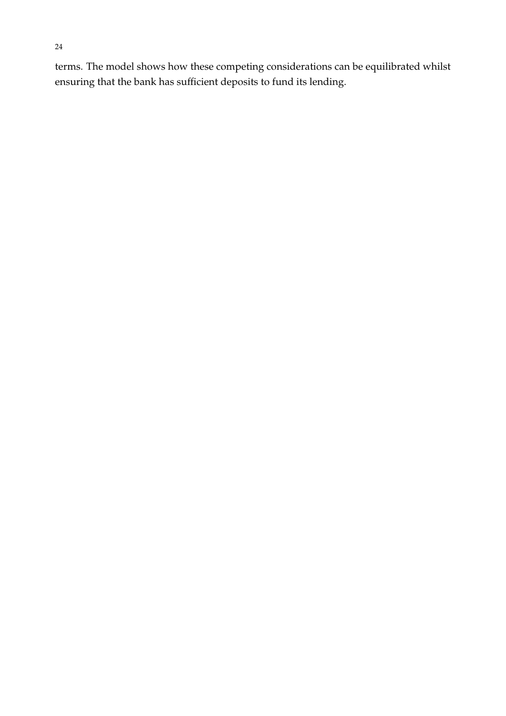terms. The model shows how these competing considerations can be equilibrated whilst ensuring that the bank has sufficient deposits to fund its lending.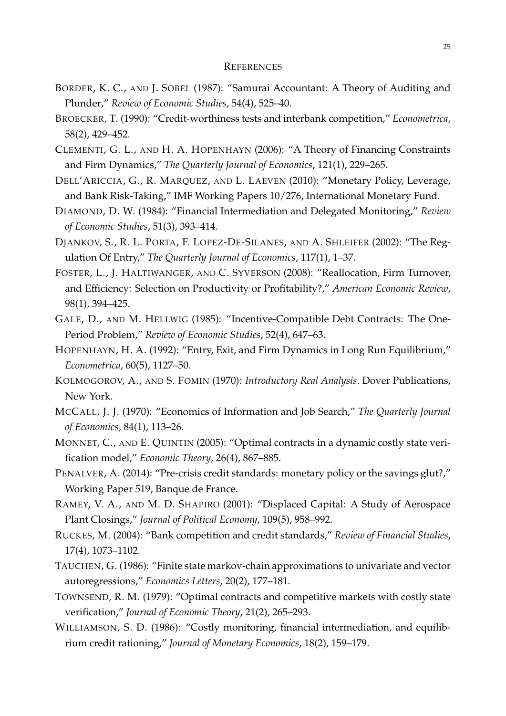#### **REFERENCES**

- <span id="page-27-8"></span>BORDER, K. C., AND J. SOBEL (1987): "Samurai Accountant: A Theory of Auditing and Plunder," *Review of Economic Studies*, 54(4), 525–40.
- <span id="page-27-1"></span>BROECKER, T. (1990): "Credit-worthiness tests and interbank competition," *Econometrica*, 58(2), 429–452.
- <span id="page-27-0"></span>CLEMENTI, G. L., AND H. A. HOPENHAYN (2006): "A Theory of Financing Constraints and Firm Dynamics," *The Quarterly Journal of Economics*, 121(1), 229–265.
- <span id="page-27-3"></span>DELL'ARICCIA, G., R. MARQUEZ, AND L. LAEVEN (2010): "Monetary Policy, Leverage, and Bank Risk-Taking," IMF Working Papers 10/276, International Monetary Fund.
- <span id="page-27-5"></span>DIAMOND, D. W. (1984): "Financial Intermediation and Delegated Monitoring," *Review of Economic Studies*, 51(3), 393–414.
- <span id="page-27-12"></span>DJANKOV, S., R. L. PORTA, F. LOPEZ-DE-SILANES, AND A. SHLEIFER (2002): "The Regulation Of Entry," *The Quarterly Journal of Economics*, 117(1), 1–37.
- <span id="page-27-17"></span>FOSTER, L., J. HALTIWANGER, AND C. SYVERSON (2008): "Reallocation, Firm Turnover, and Efficiency: Selection on Productivity or Profitability?," *American Economic Review*, 98(1), 394–425.
- <span id="page-27-6"></span>GALE, D., AND M. HELLWIG (1985): "Incentive-Compatible Debt Contracts: The One-Period Problem," *Review of Economic Studies*, 52(4), 647–63.
- <span id="page-27-11"></span>HOPENHAYN, H. A. (1992): "Entry, Exit, and Firm Dynamics in Long Run Equilibrium," *Econometrica*, 60(5), 1127–50.
- <span id="page-27-15"></span>KOLMOGOROV, A., AND S. FOMIN (1970): *Introductory Real Analysis*. Dover Publications, New York.
- <span id="page-27-13"></span>MCCALL, J. J. (1970): "Economics of Information and Job Search," *The Quarterly Journal of Economics*, 84(1), 113–26.
- <span id="page-27-9"></span>MONNET, C., AND E. QUINTIN (2005): "Optimal contracts in a dynamic costly state verification model," *Economic Theory*, 26(4), 867–885.
- <span id="page-27-10"></span>PENALVER, A. (2014): "Pre-crisis credit standards: monetary policy or the savings glut?," Working Paper 519, Banque de France.
- <span id="page-27-14"></span>RAMEY, V. A., AND M. D. SHAPIRO (2001): "Displaced Capital: A Study of Aerospace Plant Closings," *Journal of Political Economy*, 109(5), 958–992.
- <span id="page-27-2"></span>RUCKES, M. (2004): "Bank competition and credit standards," *Review of Financial Studies*, 17(4), 1073–1102.
- <span id="page-27-16"></span>TAUCHEN, G. (1986): "Finite state markov-chain approximations to univariate and vector autoregressions," *Economics Letters*, 20(2), 177–181.
- <span id="page-27-4"></span>TOWNSEND, R. M. (1979): "Optimal contracts and competitive markets with costly state verification," *Journal of Economic Theory*, 21(2), 265–293.
- <span id="page-27-7"></span>WILLIAMSON, S. D. (1986): "Costly monitoring, financial intermediation, and equilibrium credit rationing," *Journal of Monetary Economics*, 18(2), 159–179.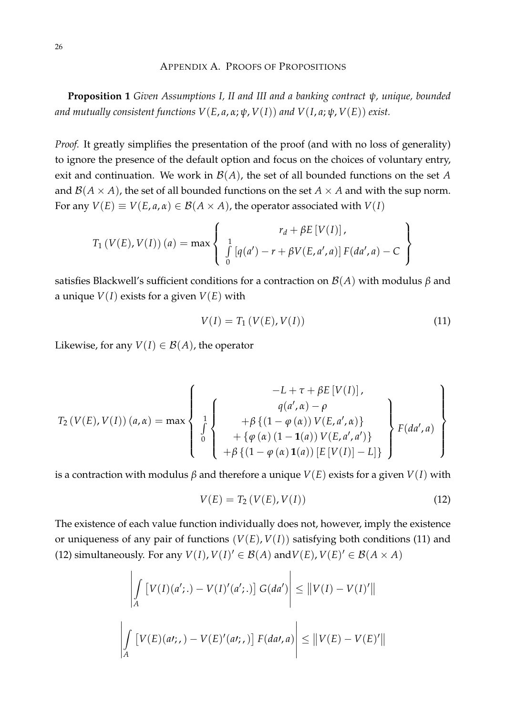## APPENDIX A. PROOFS OF PROPOSITIONS

**Proposition 1** *Given Assumptions I, II and III and a banking contract ψ, unique, bounded and mutually consistent functions*  $V(E, a, \alpha; \psi, V(I))$  *and*  $V(I, a; \psi, V(E))$  *exist.* 

*Proof.* It greatly simplifies the presentation of the proof (and with no loss of generality) to ignore the presence of the default option and focus on the choices of voluntary entry, exit and continuation. We work in B(*A*), the set of all bounded functions on the set *A* and  $\mathcal{B}(A \times A)$ , the set of all bounded functions on the set  $A \times A$  and with the sup norm. For any  $V(E) \equiv V(E, a, \alpha) \in B(A \times A)$ , the operator associated with  $V(I)$ 

$$
T_1\left(V(E), V(I)\right)(a) = \max\left\{\begin{array}{c} r_d + \beta E\left[V(I)\right], \\ \int\limits_0^1 \left[q(a') - r + \beta V(E, a', a)\right] F(da', a) - C \end{array}\right\}
$$

satisfies Blackwell's sufficient conditions for a contraction on B(*A*) with modulus *β* and a unique  $V(I)$  exists for a given  $V(E)$  with

<span id="page-28-0"></span>
$$
V(I) = T_1 (V(E), V(I))
$$
\n(11)

Likewise, for any  $V(I) \in \mathcal{B}(A)$ , the operator

$$
T_2(V(E), V(I))(a, \alpha) = \max \left\{ \begin{array}{c} -L + \tau + \beta E[V(I)], \\ q(a', \alpha) - \rho \\ \int_0^1 \begin{cases} +\beta \{ (1 - \varphi(\alpha)) V(E, a', \alpha) \} \\ + \{\varphi(\alpha) (1 - \mathbf{1}(a)) V(E, a', a') \} \\ + \beta \{ (1 - \varphi(\alpha) \mathbf{1}(a)) [E[V(I)] - L] \} \end{cases} \right\} F(da', a)
$$

is a contraction with modulus *β* and therefore a unique *V*(*E*) exists for a given *V*(*I*) with

<span id="page-28-1"></span>
$$
V(E) = T_2(V(E), V(I))
$$
 (12)

The existence of each value function individually does not, however, imply the existence or uniqueness of any pair of functions  $(V(E), V(I))$  satisfying both conditions [\(11\)](#page-28-0) and [\(12\)](#page-28-1) simultaneously. For any  $V(I)$ ,  $V(I)' \in B(A)$  and  $V(E)$ ,  $V(E)' \in B(A \times A)$ 

$$
\left| \int\limits_A \left[ V(I)(a';.) - V(I)'(a';.) \right] G(da') \right| \leq \left\| V(I) - V(I)' \right\|
$$
  

$$
\left| \int\limits_A \left[ V(E)(at;.) - V(E)'(at;.) \right] F(da',a) \right| \leq \left\| V(E) - V(E)' \right\|
$$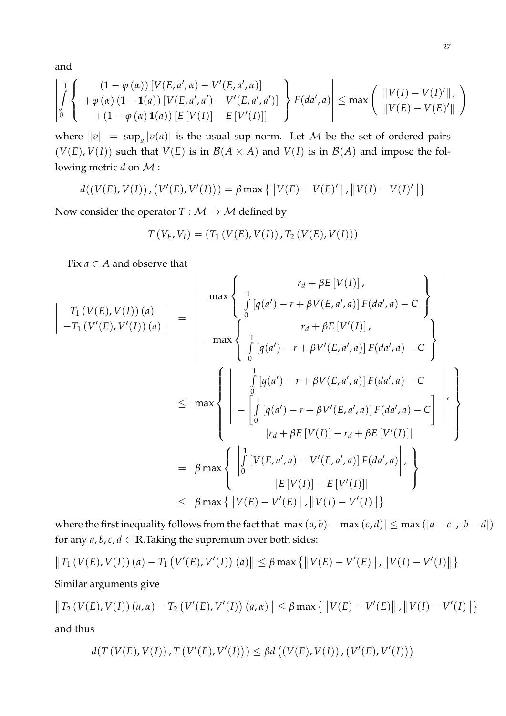and

$$
\left|\int_{0}^{1}\left\{\n\begin{array}{l}\n(1-\varphi(\alpha))\left[V(E,a',\alpha)-V'(E,a',\alpha)\right] \\
+\varphi(\alpha)\left(1-\mathbf{1}(a)\right)\left[V(E,a',a')-V'(E,a',a')\right] \\
+(1-\varphi(\alpha)\mathbf{1}(a))\left[E\left[V(I)\right]-E\left[V'(I)\right]\right]\n\end{array}\n\right\}\nF(da',a)\right|\leq \max\left(\n\begin{array}{l}\n\|V(I)-V(I)'\| \\
\|V(E)-V(E)'\| \\
\end{array}\n\right)
$$

where  $||v|| = \sup_a |v(a)|$  is the usual sup norm. Let M be the set of ordered pairs  $(V(E), V(I))$  such that  $V(E)$  is in  $\mathcal{B}(A \times A)$  and  $V(I)$  is in  $\mathcal{B}(A)$  and impose the following metric *d* on M :

$$
d((V(E), V(I)), (V'(E), V'(I))) = \beta \max \{ ||V(E) - V(E)'||, ||V(I) - V(I)'|| \}
$$

Now consider the operator  $T : \mathcal{M} \to \mathcal{M}$  defined by

$$
T(V_E, V_I) = (T_1(V(E), V(I)), T_2(V(E), V(I)))
$$

Fix  $a \in A$  and observe that

$$
\begin{vmatrix}\nT_1 (V(E), V(I))(a) \\
-T_1 (V'(E), V'(I))(a)\n\end{vmatrix} = \begin{vmatrix}\n\max \begin{cases}\n1 \\
\int_0^1 [q(a') - r + \beta V(E, a', a)] F(da', a) - C \\
\int_0^1 [q(a') - r + \beta V'(E, a', a)] F(da', a) - C\n\end{cases}\n\end{vmatrix}
$$
\n
$$
\leq \max \begin{cases}\n\frac{1}{\int_0^1 [q(a') - r + \beta V'(E, a', a)] F(da', a) - C} \\
-\frac{0}{\int_0^1 [q(a') - r + \beta V(E, a', a)] F(da', a) - C} \\
-\frac{0}{\int_0^1 [q(a') - r + \beta V'(E, a', a)] F(da', a) - C} \\
\int_0^1 [q(a') - r + \beta V'(E, a', a)] F(da', a) - C\n\end{vmatrix},
$$
\n
$$
= \beta \max \begin{cases}\n\frac{1}{\int_0^1 [V(E, a', a) - V'(E, a', a)] F(da', a) \cdot \frac{1}{\int_0^1 [V(E) - V'(E)][\frac{1}{\sqrt{V(E)}} - V'(E)][\frac{1}{\sqrt{V(E)}} - V'(E)][\frac{1}{\sqrt{V(E)}} - V'(E)][\frac{1}{\sqrt{V(E)}} - V'(E)][\frac{1}{\sqrt{V(E)}} - V'(E)][\frac{1}{\sqrt{V(E)}} - V'(E)[\frac{1}{\sqrt{V(E)}} - V'(E)][\frac{1}{\sqrt{V(E)}} - V'(E)[\frac{1}{\sqrt{V(E)}} - V'(E)][\frac{1}{\sqrt{V(E)}} - V'(E)[\frac{1}{\sqrt{V(E)}} - V'(E)[\frac{1}{\sqrt{V(E)}} - V'(E)[\frac{1}{\sqrt{V(E)}} - V'(E)[\frac{1}{\sqrt{V(E)}} - V'(E)[\frac{1}{\sqrt{V(E)}} - V'(E)[\frac{1}{\sqrt{V(E)}} - V'(E)[\frac{1}{\sqrt{V(E)}} - V'(E)[\frac{1}{\sqrt{V(E)}} - V'(E)[\frac{1}{\sqrt{V(E)}} - V'(E)[\frac{1}{\sqrt{V(E)}} - V'(E)[\frac{1}{\sqrt{V(E)}} - V'(E)[\frac{1}{\sqrt{V(E)}} - V'(E)[\frac{1}{\sqrt{V(E)}} - V'(E)[\frac{1}{\sqrt{V(E)}} - V'(E)[\frac
$$

where the first inequality follows from the fact that  $|\max(a, b) - \max(c, d)| \leq \max(|a - c|, |b - d|)$ for any  $a, b, c, d \in \mathbb{R}$ . Taking the supremum over both sides:

$$
||T_1(V(E), V(I))(a) - T_1(V'(E), V'(I))(a)|| \leq \beta \max \{||V(E) - V'(E)||, ||V(I) - V'(I)||\}
$$

Similar arguments give

$$
\|T_2(V(E), V(I))(a, \alpha) - T_2(V'(E), V'(I))(a, \alpha)\| \leq \beta \max\{||V(E) - V'(E)||, ||V(I) - V'(I)||\}
$$

and thus

$$
d\big(T\left(V(E),V(I)\right),T\left(V'(E),V'(I)\right)\big)\leq \beta d\left(\left(V(E),V(I)\right),\left(V'(E),V'(I)\right)\right)
$$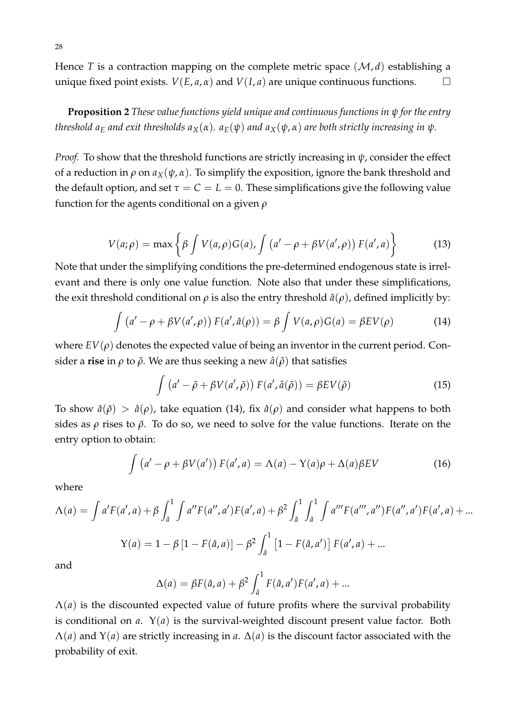Hence *T* is a contraction mapping on the complete metric space  $(M, d)$  establishing a unique fixed point exists.  $V(E, a, \alpha)$  and  $V(I, a)$  are unique continuous functions.  $\square$ 

**Proposition 2** *These value functions yield unique and continuous functions in ψ for the entry threshold*  $a<sub>E</sub>$  *and exit thresholds*  $a<sub>X</sub>(α)$ *.*  $a<sub>E</sub>(ψ)$  and  $a<sub>X</sub>(ψ,α)$  are both strictly increasing in  $ψ$ *.* 

*Proof.* To show that the threshold functions are strictly increasing in *ψ*, consider the effect of a reduction in  $\rho$  on  $a_X(\psi, \alpha)$ . To simplify the exposition, ignore the bank threshold and the default option, and set  $\tau = C = L = 0$ . These simplifications give the following value function for the agents conditional on a given *ρ*

$$
V(a; \rho) = \max \left\{ \beta \int V(a, \rho) G(a), \int \left( a' - \rho + \beta V(a', \rho) \right) F(a', a) \right\}
$$
 (13)

Note that under the simplifying conditions the pre-determined endogenous state is irrelevant and there is only one value function. Note also that under these simplifications, the exit threshold conditional on  $\rho$  is also the entry threshold  $\hat{a}(\rho)$ , defined implicitly by:

<span id="page-30-0"></span>
$$
\int (a' - \rho + \beta V(a', \rho)) F(a', \hat{a}(\rho)) = \beta \int V(a, \rho) G(a) = \beta E V(\rho)
$$
 (14)

where  $EV(\rho)$  denotes the expected value of being an inventor in the current period. Consider a **rise** in  $\rho$  to  $\tilde{\rho}$ . We are thus seeking a new  $\hat{a}(\tilde{\rho})$  that satisfies

$$
\int (a' - \tilde{\rho} + \beta V(a', \tilde{\rho})) F(a', \hat{a}(\tilde{\rho})) = \beta E V(\tilde{\rho})
$$
\n(15)

To show  $\hat{a}(\tilde{\rho}) > \hat{a}(\rho)$ , take equation [\(14\)](#page-30-0), fix  $\hat{a}(\rho)$  and consider what happens to both sides as  $\rho$  rises to  $\tilde{\rho}$ . To do so, we need to solve for the value functions. Iterate on the entry option to obtain:

$$
\int (a' - \rho + \beta V(a')) F(a', a) = \Lambda(a) - \Upsilon(a)\rho + \Delta(a)\beta EV \tag{16}
$$

where

$$
\Lambda(a) = \int a' F(a', a) + \beta \int_{\hat{a}}^1 \int a'' F(a'', a') F(a', a) + \beta^2 \int_{\hat{a}}^1 \int_a^1 \int a''' F(a''', a'') F(a'', a') F(a', a) + ...
$$
  

$$
Y(a) = 1 - \beta [1 - F(\hat{a}, a)] - \beta^2 \int_{\hat{a}}^1 [1 - F(\hat{a}, a')] F(a', a) + ...
$$

and

$$
\Delta(a) = \beta F(\hat{a}, a) + \beta^2 \int_{\hat{a}}^1 F(\hat{a}, a') F(a', a) + ...
$$

 $\Lambda(a)$  is the discounted expected value of future profits where the survival probability is conditional on *a*. Υ(*a*) is the survival-weighted discount present value factor. Both  $\Lambda$ (*a*) and Y(*a*) are strictly increasing in *a*.  $\Delta$ (*a*) is the discount factor associated with the probability of exit.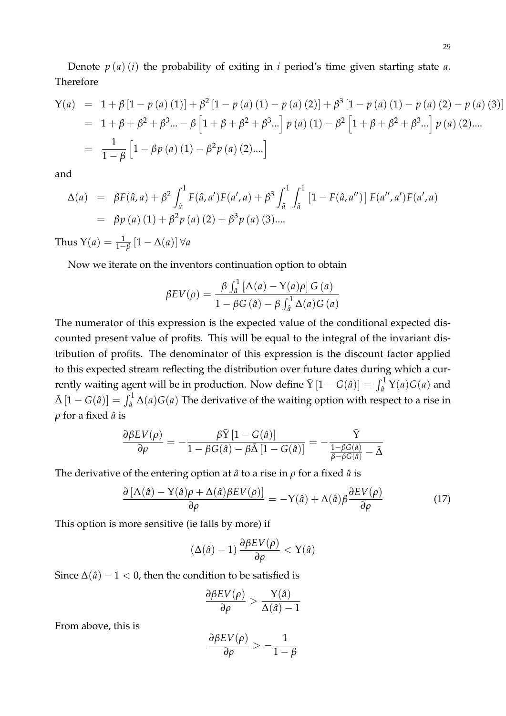Denote  $p(a)(i)$  the probability of exiting in *i* period's time given starting state *a*. Therefore

$$
Y(a) = 1 + \beta [1 - p(a)(1)] + \beta^2 [1 - p(a)(1) - p(a)(2)] + \beta^3 [1 - p(a)(1) - p(a)(2) - p(a)(3)]
$$
  
= 1 + \beta + \beta^2 + \beta^3 ... - \beta [1 + \beta + \beta^2 + \beta^3 ...] p(a)(1) - \beta^2 [1 + \beta + \beta^2 + \beta^3 ...] p(a)(2)....  
= 
$$
\frac{1}{1 - \beta} [1 - \beta p(a)(1) - \beta^2 p(a)(2)....]
$$

and

$$
\Delta(a) = \beta F(\hat{a}, a) + \beta^2 \int_a^1 F(\hat{a}, a') F(a', a) + \beta^3 \int_a^1 \int_a^1 [1 - F(\hat{a}, a'')] F(a'', a') F(a', a)
$$
  
=  $\beta p(a) (1) + \beta^2 p(a) (2) + \beta^3 p(a) (3)...$ 

Thus  $Y(a) = \frac{1}{1-\beta} [1 - \Delta(a)] \,\forall a$ 

Now we iterate on the inventors continuation option to obtain

$$
\beta EV(\rho) = \frac{\beta \int_{\hat{a}}^1 \left[ \Lambda(a) - \Upsilon(a)\rho \right] G(a)}{1 - \beta G(\hat{a}) - \beta \int_{\hat{a}}^1 \Delta(a) G(a)}
$$

The numerator of this expression is the expected value of the conditional expected discounted present value of profits. This will be equal to the integral of the invariant distribution of profits. The denominator of this expression is the discount factor applied to this expected stream reflecting the distribution over future dates during which a currently waiting agent will be in production. Now define  $\bar{Y}[1 - G(\hat{a})] = \int_{\hat{a}}^{1} Y(a)G(a)$  and  $\bar{\Delta} \left[1-G(\hat{a})\right] = \int_{\hat{a}}^1 \Delta(a) G(a)$  The derivative of the waiting option with respect to a rise in *ρ* for a fixed *a*ˆ is

$$
\frac{\partial\beta EV(\rho)}{\partial\rho}=-\frac{\beta\bar{\mathrm{Y}}\left[1-\overline{G}(\hat{a})\right]}{1-\beta G(\hat{a})-\beta\bar{\Delta}\left[1-\overline{G}(\hat{a})\right]}=-\frac{\bar{\mathrm{Y}}}{\frac{1-\beta G(\hat{a})}{\beta-\beta G(\hat{a})}-\bar{\Delta}}
$$

The derivative of the entering option at  $\hat{a}$  to a rise in  $\rho$  for a fixed  $\hat{a}$  is

$$
\frac{\partial \left[ \Lambda(\hat{a}) - Y(\hat{a})\rho + \Delta(\hat{a})\beta EV(\rho) \right]}{\partial \rho} = -Y(\hat{a}) + \Delta(\hat{a})\beta \frac{\partial EV(\rho)}{\partial \rho}
$$
(17)

This option is more sensitive (ie falls by more) if

$$
(\Delta(\hat{a})-1)\frac{\partial\beta EV(\rho)}{\partial \rho} < Y(\hat{a})
$$

Since  $\Delta(\hat{a}) - 1 < 0$ , then the condition to be satisfied is

$$
\frac{\partial \beta EV(\rho)}{\partial \rho} > \frac{\Upsilon(\hat{a})}{\Delta(\hat{a})-1}
$$

From above, this is

$$
\frac{\partial \beta EV(\rho)}{\partial \rho} > -\frac{1}{1-\beta}
$$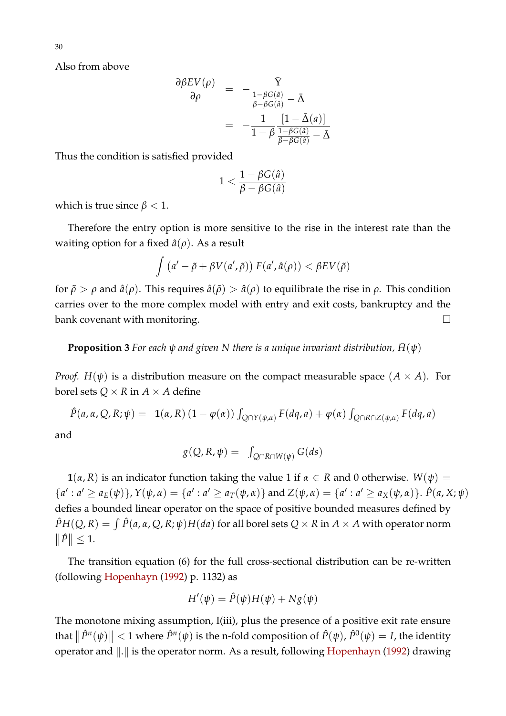Also from above

$$
\frac{\partial \beta EV(\rho)}{\partial \rho} = -\frac{\bar{Y}}{\frac{1-\beta G(\hat{a})}{\beta-\beta G(\hat{a})}-\bar{\Delta}}
$$

$$
= -\frac{1}{1-\beta} \frac{[1-\bar{\Delta}(a)]}{\frac{1-\beta G(\hat{a})}{\beta-\beta G(\hat{a})}-\bar{\Delta}}
$$

Thus the condition is satisfied provided

$$
1<\frac{1-\beta G(\hat{a})}{\beta-\beta G(\hat{a})}
$$

which is true since  $\beta$  < 1.

Therefore the entry option is more sensitive to the rise in the interest rate than the waiting option for a fixed  $\hat{a}(\rho)$ . As a result

$$
\int (a' - \tilde{\rho} + \beta V(a', \tilde{\rho})) F(a', \hat{a}(\rho)) < \beta E V(\tilde{\rho})
$$

for  $\tilde{\rho} > \rho$  and  $\hat{a}(\rho)$ . This requires  $\hat{a}(\tilde{\rho}) > \hat{a}(\rho)$  to equilibrate the rise in  $\rho$ . This condition carries over to the more complex model with entry and exit costs, bankruptcy and the bank covenant with monitoring.

**Proposition 3** For each  $\psi$  and given N there is a unique invariant distribution,  $\bar{H}(\psi)$ 

*Proof.*  $H(\psi)$  is a distribution measure on the compact measurable space  $(A \times A)$ . For borel sets  $Q \times R$  in  $A \times A$  define

$$
\hat{P}(a,\alpha,Q,R;\psi) = \mathbf{1}(\alpha,R) \left(1 - \varphi(\alpha)\right) \int_{Q \cap Y(\psi,\alpha)} F(dq,a) + \varphi(\alpha) \int_{Q \cap R \cap Z(\psi,\alpha)} F(dq,a)
$$

and

$$
g(Q, R, \psi) = \int_{Q \cap R \cap W(\psi)} G(ds)
$$

**1**( $\alpha$ ,  $R$ ) is an indicator function taking the value 1 if  $\alpha \in R$  and 0 otherwise.  $W(\psi) =$  ${a': a' \ge a_E(\psi)}$ ,  $Y(\psi, \alpha) = {a': a' \ge a_T(\psi, \alpha)}$  and  $Z(\psi, \alpha) = {a': a' \ge a_X(\psi, \alpha)}$ .  $\hat{P}(a, X; \psi)$ defies a bounded linear operator on the space of positive bounded measures defined by  $\hat{P}H(Q,R)=\int \hat{P}(a,\alpha,Q,R;\psi)H(da)$  for all borel sets  $Q\times R$  in  $A\times A$  with operator norm  $\|\hat{P}\| \leq 1.$ 

The transition equation [\(6\)](#page-13-1) for the full cross-sectional distribution can be re-written (following [Hopenhayn](#page-27-11) [\(1992\)](#page-27-11) p. 1132) as

$$
H'(\psi) = \hat{P}(\psi)H(\psi) + Ng(\psi)
$$

The monotone mixing assumption, I(iii), plus the presence of a positive exit rate ensure that  $\|\hat{P}^n(\psi)\| < 1$  where  $\hat{P}^n(\psi)$  is the n-fold composition of  $\hat{P}(\psi)$ ,  $\hat{P}^0(\psi) = I$ , the identity operator and  $\Vert . \Vert$  is the operator norm. As a result, following [Hopenhayn](#page-27-11) [\(1992\)](#page-27-11) drawing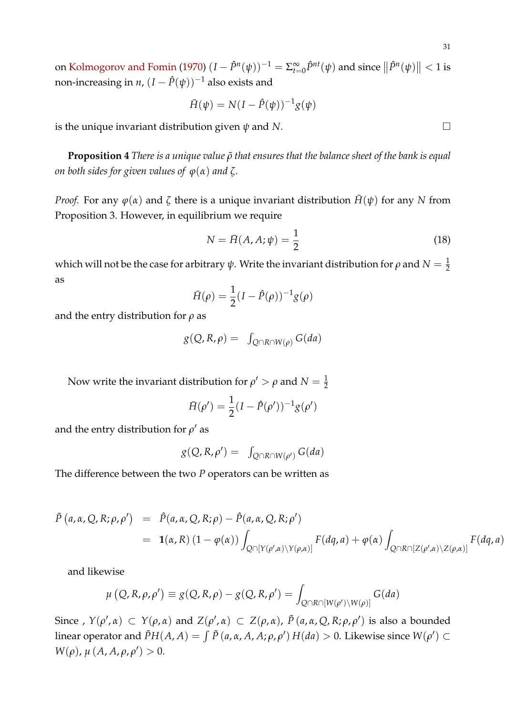on [Kolmogorov and Fomin](#page-27-15) [\(1970\)](#page-27-15)  $(I - \hat{P}^n(\psi))^{-1} = \sum_{t=0}^{\infty} \hat{P}^{nt}(\psi)$  and since  $\|\hat{P}^n(\psi)\| < 1$  is non-increasing in *n*,  $(I - \hat{P}(\psi))^{-1}$  also exists and

$$
\bar{H}(\psi) = N(I - \hat{P}(\psi))^{-1}g(\psi)
$$

is the unique invariant distribution given *ψ* and *N*.

**Proposition 4** *There is a unique value*  $ρ̃$  *that ensures that the balance sheet of the bank is equal on both sides for given values of*  $\varphi(\alpha)$  *and*  $\zeta$ *.* 

*Proof.* For any  $\varphi(\alpha)$  and  $\zeta$  there is a unique invariant distribution  $\bar{H}(\psi)$  for any *N* from Proposition 3. However, in equilibrium we require

$$
N = \bar{H}(A, A; \psi) = \frac{1}{2}
$$
 (18)

which will not be the case for arbitrary  $\psi$ . Write the invariant distribution for  $\rho$  and  $N=\frac{1}{2}$ as

$$
\bar{H}(\rho) = \frac{1}{2}(I - \hat{P}(\rho))^{-1}g(\rho)
$$

and the entry distribution for *ρ* as

$$
g(Q, R, \rho) = \int_{Q \cap R \cap W(\rho)} G(da)
$$

Now write the invariant distribution for  $\rho' > \rho$  and  $N = \frac{1}{2}$ 

$$
\bar{H}(\rho') = \frac{1}{2}(I - \hat{P}(\rho'))^{-1}g(\rho')
$$

and the entry distribution for  $\rho'$  as

$$
g(Q, R, \rho') = \int_{Q \cap R \cap W(\rho')} G(da)
$$

The difference between the two *P* operators can be written as

$$
\tilde{P}(a,\alpha,Q,R;\rho,\rho') = \hat{P}(a,\alpha,Q,R;\rho) - \hat{P}(a,\alpha,Q,R;\rho')
$$
\n
$$
= \mathbf{1}(\alpha,R) \left(1 - \varphi(\alpha)\right) \int_{Q \cap [Y(\rho',\alpha)\setminus Y(\rho,\alpha)]} F(dq,a) + \varphi(\alpha) \int_{Q \cap R \cap [Z(\rho',\alpha)\setminus Z(\rho,\alpha)]} F(dq,a)
$$

and likewise

$$
\mu\left(Q, R, \rho, \rho'\right) \equiv g(Q, R, \rho) - g(Q, R, \rho') = \int_{Q \cap R \cap [W(\rho') \setminus W(\rho)]} G(da)
$$

Since ,  $Y(\rho', \alpha) \subset Y(\rho, \alpha)$  and  $Z(\rho', \alpha) \subset Z(\rho, \alpha)$ ,  $\tilde{P}(a, \alpha, Q, R; \rho, \rho')$  is also a bounded linear operator and  $\tilde{P}H(A,A)=\int \tilde{P}\left(a,\alpha ,A,A;\rho ,\rho '\right) H(da)>0.$  Likewise since  $W(\rho')\subset$ *W*(*ρ*),  $\mu$  (*A*, *A*,  $\rho$ ,  $\rho'$ ) > 0.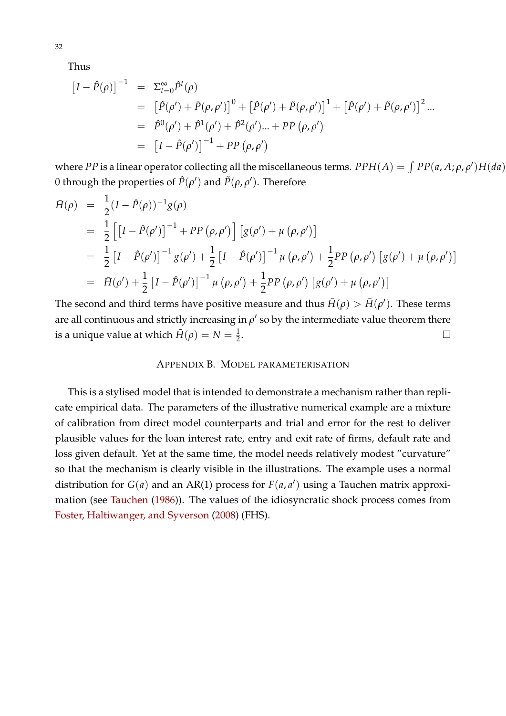Thus

$$
\begin{aligned}\n\left[I - \hat{P}(\rho)\right]^{-1} &= \Sigma_{t=0}^{\infty} \hat{P}^{t}(\rho) \\
&= \left[\hat{P}(\rho') + \tilde{P}(\rho, \rho')\right]^{0} + \left[\hat{P}(\rho') + \tilde{P}(\rho, \rho')\right]^{1} + \left[\hat{P}(\rho') + \tilde{P}(\rho, \rho')\right]^{2} \dots \\
&= \hat{P}^{0}(\rho') + \hat{P}^{1}(\rho') + \hat{P}^{2}(\rho') \dots + PP(\rho, \rho') \\
&= \left[I - \hat{P}(\rho')\right]^{-1} + PP(\rho, \rho')\n\end{aligned}
$$

where *PP* is a linear operator collecting all the miscellaneous terms.  $PPH(A) = \int PP(a, A; \rho, \rho')H(da)$ 0 through the properties of  $\hat{P}(\rho')$  and  $\tilde{P}(\rho,\rho')$ . Therefore

$$
\begin{split}\n\bar{H}(\rho) &= \frac{1}{2}(I - \hat{P}(\rho))^{-1}g(\rho) \\
&= \frac{1}{2}\left[\left[I - \hat{P}(\rho')\right]^{-1} + PP\left(\rho, \rho'\right)\right]\left[g(\rho') + \mu\left(\rho, \rho'\right)\right] \\
&= \frac{1}{2}\left[I - \hat{P}(\rho')\right]^{-1}g(\rho') + \frac{1}{2}\left[I - \hat{P}(\rho')\right]^{-1}\mu\left(\rho, \rho'\right) + \frac{1}{2}PP\left(\rho, \rho'\right)\left[g(\rho') + \mu\left(\rho, \rho'\right)\right] \\
&= \bar{H}(\rho') + \frac{1}{2}\left[I - \hat{P}(\rho')\right]^{-1}\mu\left(\rho, \rho'\right) + \frac{1}{2}PP\left(\rho, \rho'\right)\left[g(\rho') + \mu\left(\rho, \rho'\right)\right]\n\end{split}
$$

The second and third terms have positive measure and thus  $\bar{H}(\rho) > \bar{H}(\rho')$ . These terms are all continuous and strictly increasing in  $\rho'$  so by the intermediate value theorem there is a unique value at which  $\tilde{H}(\rho) = N = \frac{1}{2}$ . В последните поставите на производите на селото на селото на селото на селото на селото на селото на селото<br>В селото на селото на селото на селото на селото на селото на селото на селото на селото на селото на селото н

#### APPENDIX B. MODEL PARAMETERISATION

This is a stylised model that is intended to demonstrate a mechanism rather than replicate empirical data. The parameters of the illustrative numerical example are a mixture of calibration from direct model counterparts and trial and error for the rest to deliver plausible values for the loan interest rate, entry and exit rate of firms, default rate and loss given default. Yet at the same time, the model needs relatively modest "curvature" so that the mechanism is clearly visible in the illustrations. The example uses a normal distribution for  $G(a)$  and an AR(1) process for  $F(a, a')$  using a Tauchen matrix approximation (see [Tauchen](#page-27-16) [\(1986\)](#page-27-16)). The values of the idiosyncratic shock process comes from [Foster, Haltiwanger, and Syverson](#page-27-17) [\(2008\)](#page-27-17) (FHS).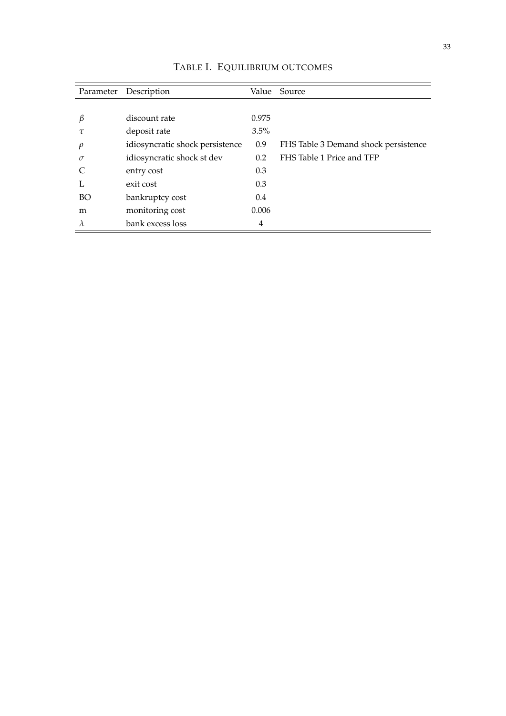| Parameter | Description                     | Value   | Source                               |
|-----------|---------------------------------|---------|--------------------------------------|
|           |                                 |         |                                      |
| $\beta$   | discount rate                   | 0.975   |                                      |
| τ         | deposit rate                    | $3.5\%$ |                                      |
| $\rho$    | idiosyncratic shock persistence | 0.9     | FHS Table 3 Demand shock persistence |
| $\sigma$  | idiosyncratic shock st dev      | 0.2     | FHS Table 1 Price and TFP            |
|           | entry cost                      | 0.3     |                                      |
| L         | exit cost                       | 0.3     |                                      |
| BO        | bankruptcy cost                 | 0.4     |                                      |
| m         | monitoring cost                 | 0.006   |                                      |
| $\lambda$ | bank excess loss                | 4       |                                      |